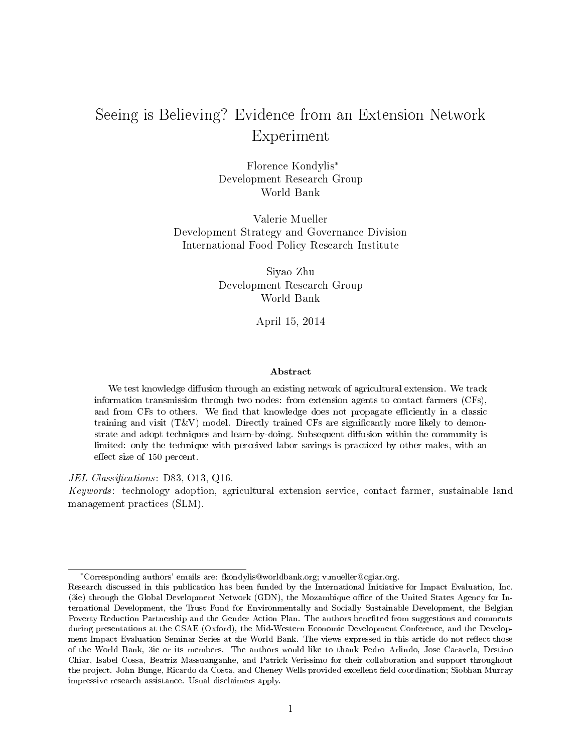## Seeing is Believing? Evidence from an Extension Network Experiment

Florence Kondylis<sup>∗</sup> Development Research Group World Bank

Valerie Mueller Development Strategy and Governance Division International Food Policy Research Institute

> Siyao Zhu Development Research Group World Bank

> > April 15, 2014

#### Abstract

We test knowledge diffusion through an existing network of agricultural extension. We track information transmission through two nodes: from extension agents to contact farmers (CFs), and from CFs to others. We find that knowledge does not propagate efficiently in a classic training and visit  $(T&V)$  model. Directly trained CFs are significantly more likely to demonstrate and adopt techniques and learn-by-doing. Subsequent diffusion within the community is limited: only the technique with perceived labor savings is practiced by other males, with an effect size of 150 percent.

#### JEL Classifications:  $D83, O13, Q16$ .

Keywords: technology adoption, agricultural extension service, contact farmer, sustainable land management practices (SLM).

<sup>∗</sup>Corresponding authors' emails are: fkondylis@worldbank.org; v.mueller@cgiar.org.

Research discussed in this publication has been funded by the International Initiative for Impact Evaluation, Inc. (3ie) through the Global Development Network (GDN), the Mozambique office of the United States Agency for International Development, the Trust Fund for Environmentally and Socially Sustainable Development, the Belgian Poverty Reduction Partnership and the Gender Action Plan. The authors benefited from suggestions and comments during presentations at the CSAE (Oxford), the Mid-Western Economic Development Conference, and the Development Impact Evaluation Seminar Series at the World Bank. The views expressed in this article do not reflect those of the World Bank, 3ie or its members. The authors would like to thank Pedro Arlindo, Jose Caravela, Destino Chiar, Isabel Cossa, Beatriz Massuanganhe, and Patrick Verissimo for their collaboration and support throughout the project. John Bunge, Ricardo da Costa, and Cheney Wells provided excellent field coordination; Siobhan Murray impressive research assistance. Usual disclaimers apply.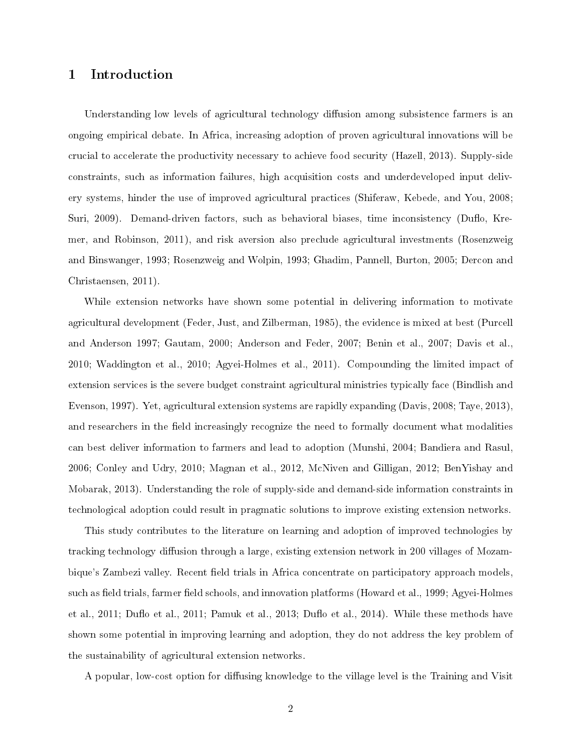## 1 Introduction

Understanding low levels of agricultural technology diffusion among subsistence farmers is an ongoing empirical debate. In Africa, increasing adoption of proven agricultural innovations will be crucial to accelerate the productivity necessary to achieve food security (Hazell, 2013). Supply-side constraints, such as information failures, high acquisition costs and underdeveloped input delivery systems, hinder the use of improved agricultural practices (Shiferaw, Kebede, and You, 2008; Suri, 2009). Demand-driven factors, such as behavioral biases, time inconsistency (Duflo, Kremer, and Robinson, 2011), and risk aversion also preclude agricultural investments (Rosenzweig and Binswanger, 1993; Rosenzweig and Wolpin, 1993; Ghadim, Pannell, Burton, 2005; Dercon and Christaensen, 2011).

While extension networks have shown some potential in delivering information to motivate agricultural development (Feder, Just, and Zilberman, 1985), the evidence is mixed at best (Purcell and Anderson 1997; Gautam, 2000; Anderson and Feder, 2007; Benin et al., 2007; Davis et al., 2010; Waddington et al., 2010; Agyei-Holmes et al., 2011). Compounding the limited impact of extension services is the severe budget constraint agricultural ministries typically face (Bindlish and Evenson, 1997). Yet, agricultural extension systems are rapidly expanding (Davis, 2008; Taye, 2013), and researchers in the field increasingly recognize the need to formally document what modalities can best deliver information to farmers and lead to adoption (Munshi, 2004; Bandiera and Rasul, 2006; Conley and Udry, 2010; Magnan et al., 2012, McNiven and Gilligan, 2012; BenYishay and Mobarak, 2013). Understanding the role of supply-side and demand-side information constraints in technological adoption could result in pragmatic solutions to improve existing extension networks.

This study contributes to the literature on learning and adoption of improved technologies by tracking technology diffusion through a large, existing extension network in 200 villages of Mozambique's Zambezi valley. Recent field trials in Africa concentrate on participatory approach models. such as field trials, farmer field schools, and innovation platforms (Howard et al., 1999; Agyei-Holmes et al., 2011; Duffo et al., 2011; Pamuk et al., 2013; Duffo et al., 2014). While these methods have shown some potential in improving learning and adoption, they do not address the key problem of the sustainability of agricultural extension networks.

A popular, low-cost option for diffusing knowledge to the village level is the Training and Visit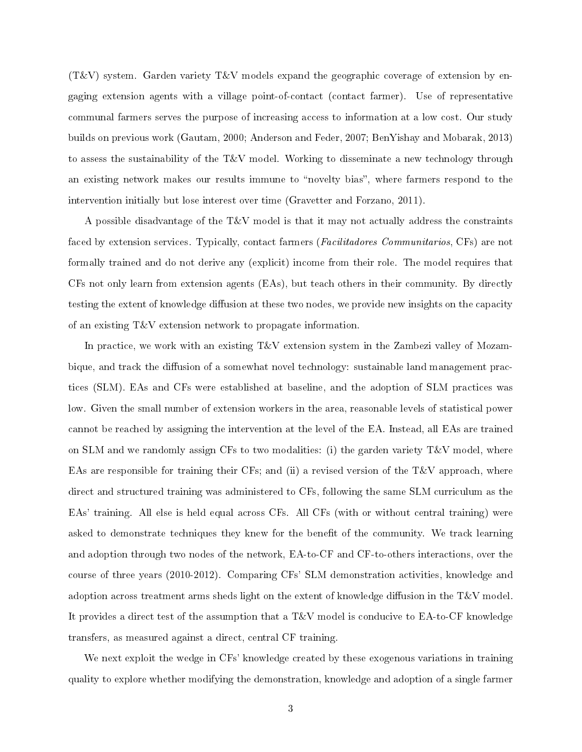$(T&V)$  system. Garden variety  $T&V$  models expand the geographic coverage of extension by engaging extension agents with a village point-of-contact (contact farmer). Use of representative communal farmers serves the purpose of increasing access to information at a low cost. Our study builds on previous work (Gautam, 2000; Anderson and Feder, 2007; BenYishay and Mobarak, 2013) to assess the sustainability of the T&V model. Working to disseminate a new technology through an existing network makes our results immune to "novelty bias", where farmers respond to the intervention initially but lose interest over time (Gravetter and Forzano, 2011).

A possible disadvantage of the T&V model is that it may not actually address the constraints faced by extension services. Typically, contact farmers (Facilitadores Communitarios, CFs) are not formally trained and do not derive any (explicit) income from their role. The model requires that CFs not only learn from extension agents (EAs), but teach others in their community. By directly testing the extent of knowledge diffusion at these two nodes, we provide new insights on the capacity of an existing T&V extension network to propagate information.

In practice, we work with an existing T&V extension system in the Zambezi valley of Mozambique, and track the diffusion of a somewhat novel technology: sustainable land management practices (SLM). EAs and CFs were established at baseline, and the adoption of SLM practices was low. Given the small number of extension workers in the area, reasonable levels of statistical power cannot be reached by assigning the intervention at the level of the EA. Instead, all EAs are trained on SLM and we randomly assign CFs to two modalities: (i) the garden variety  $T&V$  model, where EAs are responsible for training their CFs; and (ii) a revised version of the T&V approach, where direct and structured training was administered to CFs, following the same SLM curriculum as the EAs' training. All else is held equal across CFs. All CFs (with or without central training) were asked to demonstrate techniques they knew for the benefit of the community. We track learning and adoption through two nodes of the network, EA-to-CF and CF-to-others interactions, over the course of three years (2010-2012). Comparing CFs' SLM demonstration activities, knowledge and adoption across treatment arms sheds light on the extent of knowledge diffusion in the  $T\&V$  model. It provides a direct test of the assumption that a T&V model is conducive to EA-to-CF knowledge transfers, as measured against a direct, central CF training.

We next exploit the wedge in CFs' knowledge created by these exogenous variations in training quality to explore whether modifying the demonstration, knowledge and adoption of a single farmer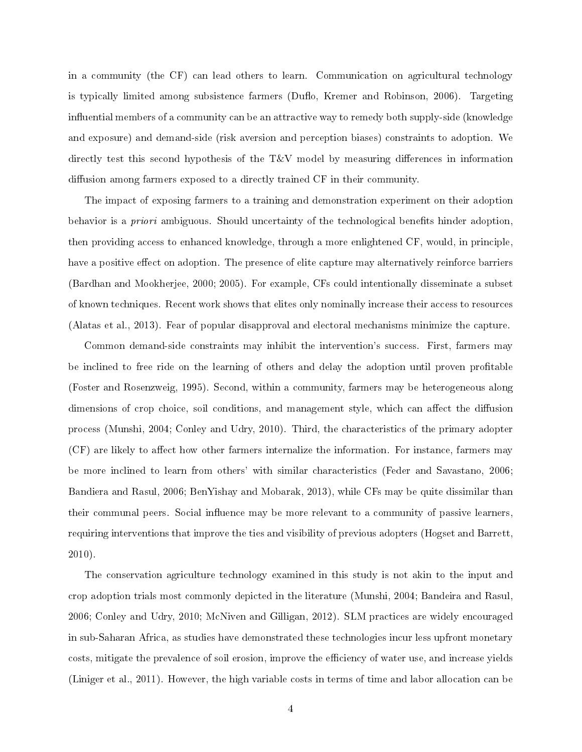in a community (the CF) can lead others to learn. Communication on agricultural technology is typically limited among subsistence farmers (Duflo, Kremer and Robinson, 2006). Targeting influential members of a community can be an attractive way to remedy both supply-side (knowledge and exposure) and demand-side (risk aversion and perception biases) constraints to adoption. We directly test this second hypothesis of the T&V model by measuring differences in information diffusion among farmers exposed to a directly trained CF in their community.

The impact of exposing farmers to a training and demonstration experiment on their adoption behavior is a *priori* ambiguous. Should uncertainty of the technological benefits hinder adoption. then providing access to enhanced knowledge, through a more enlightened CF, would, in principle, have a positive effect on adoption. The presence of elite capture may alternatively reinforce barriers (Bardhan and Mookherjee, 2000; 2005). For example, CFs could intentionally disseminate a subset of known techniques. Recent work shows that elites only nominally increase their access to resources (Alatas et al., 2013). Fear of popular disapproval and electoral mechanisms minimize the capture.

Common demand-side constraints may inhibit the intervention's success. First, farmers may be inclined to free ride on the learning of others and delay the adoption until proven profitable (Foster and Rosenzweig, 1995). Second, within a community, farmers may be heterogeneous along dimensions of crop choice, soil conditions, and management style, which can affect the diffusion process (Munshi, 2004; Conley and Udry, 2010). Third, the characteristics of the primary adopter  $(CF)$  are likely to affect how other farmers internalize the information. For instance, farmers may be more inclined to learn from others' with similar characteristics (Feder and Savastano, 2006; Bandiera and Rasul, 2006; BenYishay and Mobarak, 2013), while CFs may be quite dissimilar than their communal peers. Social influence may be more relevant to a community of passive learners. requiring interventions that improve the ties and visibility of previous adopters (Hogset and Barrett, 2010).

The conservation agriculture technology examined in this study is not akin to the input and crop adoption trials most commonly depicted in the literature (Munshi, 2004; Bandeira and Rasul, 2006; Conley and Udry, 2010; McNiven and Gilligan, 2012). SLM practices are widely encouraged in sub-Saharan Africa, as studies have demonstrated these technologies incur less upfront monetary costs, mitigate the prevalence of soil erosion, improve the efficiency of water use, and increase yields (Liniger et al., 2011). However, the high variable costs in terms of time and labor allocation can be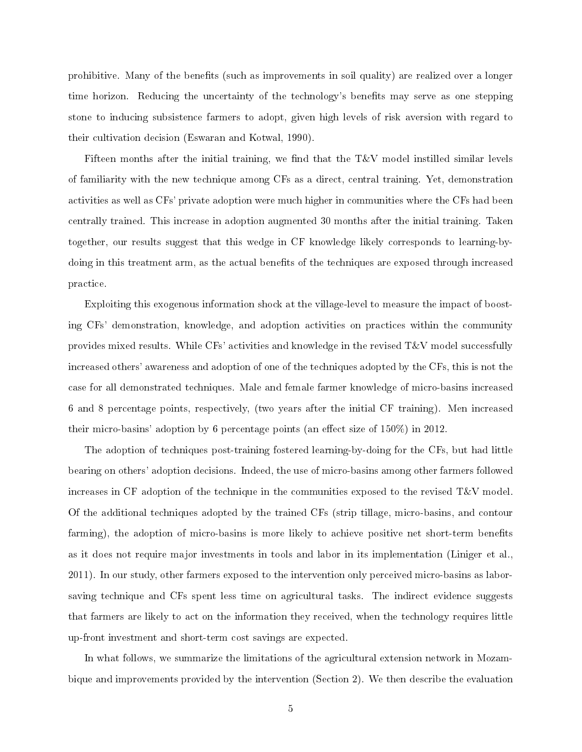prohibitive. Many of the benets (such as improvements in soil quality) are realized over a longer time horizon. Reducing the uncertainty of the technology's benets may serve as one stepping stone to inducing subsistence farmers to adopt, given high levels of risk aversion with regard to their cultivation decision (Eswaran and Kotwal, 1990).

Fifteen months after the initial training, we find that the  $T\&V$  model instilled similar levels of familiarity with the new technique among CFs as a direct, central training. Yet, demonstration activities as well as CFs' private adoption were much higher in communities where the CFs had been centrally trained. This increase in adoption augmented 30 months after the initial training. Taken together, our results suggest that this wedge in CF knowledge likely corresponds to learning-bydoing in this treatment arm, as the actual benefits of the techniques are exposed through increased practice.

Exploiting this exogenous information shock at the village-level to measure the impact of boosting CFs' demonstration, knowledge, and adoption activities on practices within the community provides mixed results. While CFs' activities and knowledge in the revised T&V model successfully increased others' awareness and adoption of one of the techniques adopted by the CFs, this is not the case for all demonstrated techniques. Male and female farmer knowledge of micro-basins increased 6 and 8 percentage points, respectively, (two years after the initial CF training). Men increased their micro-basins' adoption by 6 percentage points (an effect size of  $150\%$ ) in 2012.

The adoption of techniques post-training fostered learning-by-doing for the CFs, but had little bearing on others' adoption decisions. Indeed, the use of micro-basins among other farmers followed increases in CF adoption of the technique in the communities exposed to the revised T&V model. Of the additional techniques adopted by the trained CFs (strip tillage, micro-basins, and contour farming), the adoption of micro-basins is more likely to achieve positive net short-term benefits as it does not require major investments in tools and labor in its implementation (Liniger et al., 2011). In our study, other farmers exposed to the intervention only perceived micro-basins as laborsaving technique and CFs spent less time on agricultural tasks. The indirect evidence suggests that farmers are likely to act on the information they received, when the technology requires little up-front investment and short-term cost savings are expected.

In what follows, we summarize the limitations of the agricultural extension network in Mozambique and improvements provided by the intervention (Section 2). We then describe the evaluation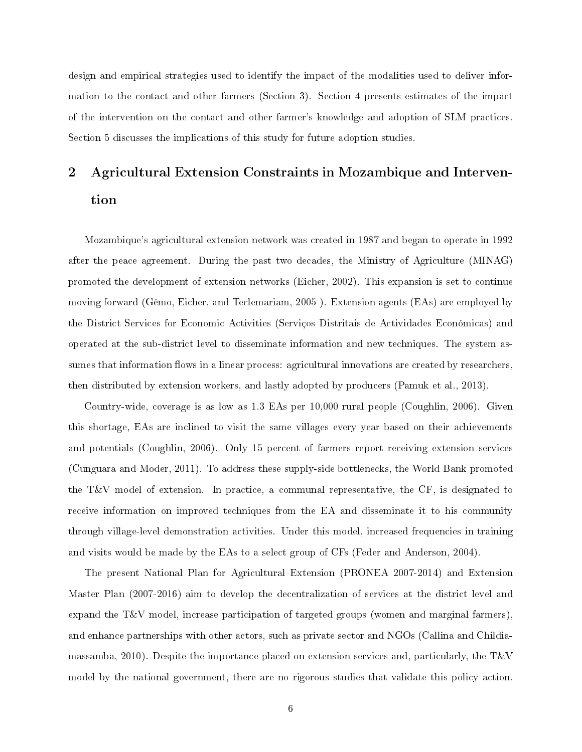design and empirical strategies used to identify the impact of the modalities used to deliver information to the contact and other farmers (Section 3). Section 4 presents estimates of the impact of the intervention on the contact and other farmer's knowledge and adoption of SLM practices. Section 5 discusses the implications of this study for future adoption studies.

# 2 Agricultural Extension Constraints in Mozambique and Intervention

Mozambique's agricultural extension network was created in 1987 and began to operate in 1992 after the peace agreement. During the past two decades, the Ministry of Agriculture (MINAG) promoted the development of extension networks (Eicher, 2002). This expansion is set to continue moving forward (Gêmo, Eicher, and Teclemariam, 2005 ). Extension agents (EAs) are employed by the District Services for Economic Activities (Serviços Distritais de Actividades Económicas) and operated at the sub-district level to disseminate information and new techniques. The system assumes that information flows in a linear process: agricultural innovations are created by researchers, then distributed by extension workers, and lastly adopted by producers (Pamuk et al., 2013).

Country-wide, coverage is as low as 1.3 EAs per 10,000 rural people (Coughlin, 2006). Given this shortage, EAs are inclined to visit the same villages every year based on their achievements and potentials (Coughlin, 2006). Only 15 percent of farmers report receiving extension services (Cunguara and Moder, 2011). To address these supply-side bottlenecks, the World Bank promoted the T&V model of extension. In practice, a communal representative, the CF, is designated to receive information on improved techniques from the EA and disseminate it to his community through village-level demonstration activities. Under this model, increased frequencies in training and visits would be made by the EAs to a select group of CFs (Feder and Anderson, 2004).

The present National Plan for Agricultural Extension (PRONEA 2007-2014) and Extension Master Plan (2007-2016) aim to develop the decentralization of services at the district level and expand the T&V model, increase participation of targeted groups (women and marginal farmers), and enhance partnerships with other actors, such as private sector and NGOs (Callina and Childiamassamba, 2010). Despite the importance placed on extension services and, particularly, the T&V model by the national government, there are no rigorous studies that validate this policy action.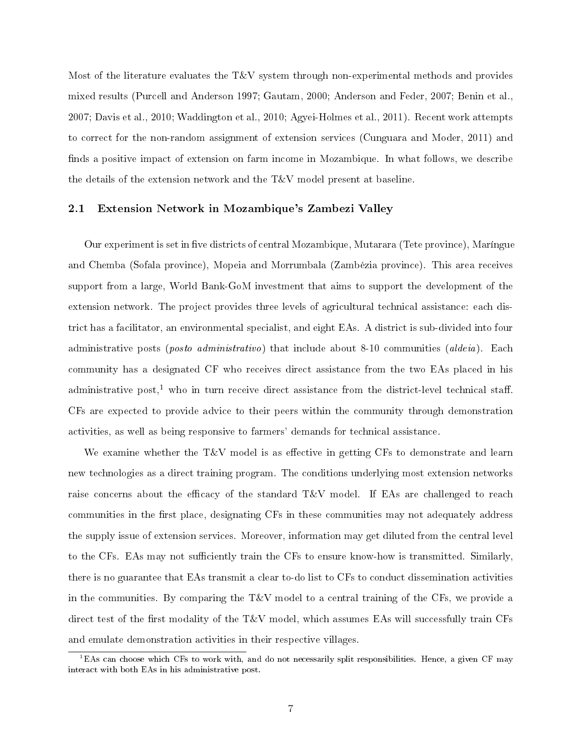Most of the literature evaluates the T&V system through non-experimental methods and provides mixed results (Purcell and Anderson 1997; Gautam, 2000; Anderson and Feder, 2007; Benin et al., 2007; Davis et al., 2010; Waddington et al., 2010; Agyei-Holmes et al., 2011). Recent work attempts to correct for the non-random assignment of extension services (Cunguara and Moder, 2011) and finds a positive impact of extension on farm income in Mozambique. In what follows, we describe the details of the extension network and the T&V model present at baseline.

#### 2.1 Extension Network in Mozambique's Zambezi Valley

Our experiment is set in five districts of central Mozambique, Mutarara (Tete province), Maríngue and Chemba (Sofala province), Mopeia and Morrumbala (Zambézia province). This area receives support from a large, World Bank-GoM investment that aims to support the development of the extension network. The project provides three levels of agricultural technical assistance: each district has a facilitator, an environmental specialist, and eight EAs. A district is sub-divided into four administrative posts (*posto administrativo*) that include about 8-10 communities (*aldeia*). Each community has a designated CF who receives direct assistance from the two EAs placed in his administrative post,<sup>1</sup> who in turn receive direct assistance from the district-level technical staff. CFs are expected to provide advice to their peers within the community through demonstration activities, as well as being responsive to farmers' demands for technical assistance.

We examine whether the T&V model is as effective in getting CFs to demonstrate and learn new technologies as a direct training program. The conditions underlying most extension networks raise concerns about the efficacy of the standard  $T\&V$  model. If EAs are challenged to reach communities in the first place, designating CFs in these communities may not adequately address the supply issue of extension services. Moreover, information may get diluted from the central level to the CFs. EAs may not sufficiently train the CFs to ensure know-how is transmitted. Similarly, there is no guarantee that EAs transmit a clear to-do list to CFs to conduct dissemination activities in the communities. By comparing the  $T&V$  model to a central training of the CFs, we provide a direct test of the first modality of the  $T&V$  model, which assumes EAs will successfully train CFs and emulate demonstration activities in their respective villages.

 ${}^{1}$ EAs can choose which CFs to work with, and do not necessarily split responsibilities. Hence, a given CF may interact with both EAs in his administrative post.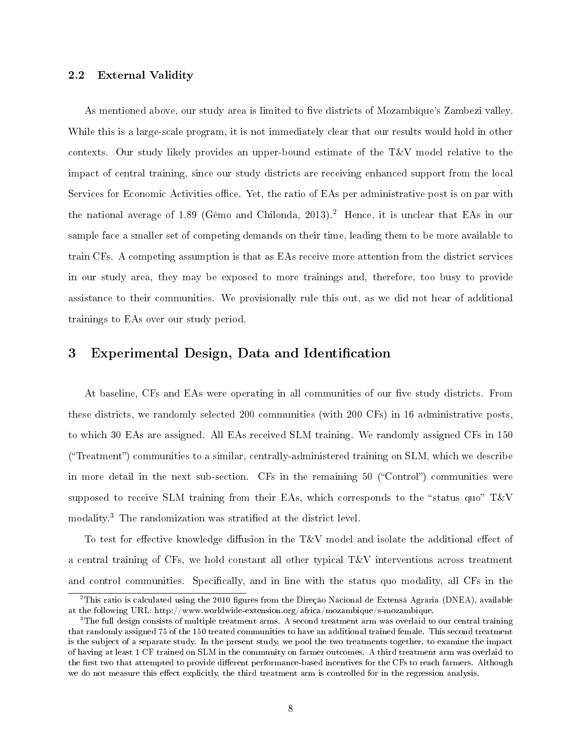#### 2.2 External Validity

As mentioned above, our study area is limited to five districts of Mozambique's Zambezi valley. While this is a large-scale program, it is not immediately clear that our results would hold in other contexts. Our study likely provides an upper-bound estimate of the T&V model relative to the impact of central training, since our study districts are receiving enhanced support from the local Services for Economic Activities office. Yet, the ratio of EAs per administrative post is on par with the national average of 1.89 (Gêmo and Chilonda, 2013)<sup>2</sup> Hence, it is unclear that EAs in our sample face a smaller set of competing demands on their time, leading them to be more available to train CFs. A competing assumption is that as EAs receive more attention from the district services in our study area, they may be exposed to more trainings and, therefore, too busy to provide assistance to their communities. We provisionally rule this out, as we did not hear of additional trainings to EAs over our study period.

#### 3 Experimental Design, Data and Identification

At baseline, CFs and EAs were operating in all communities of our five study districts. From these districts, we randomly selected 200 communities (with 200 CFs) in 16 administrative posts, to which 30 EAs are assigned. All EAs received SLM training. We randomly assigned CFs in 150 ("Treatment") communities to a similar, centrally-administered training on SLM, which we describe in more detail in the next sub-section. CFs in the remaining  $50$  ("Control") communities were supposed to receive SLM training from their EAs, which corresponds to the "status quo"  $T\&V$ modality.<sup>3</sup> The randomization was stratified at the district level.

To test for effective knowledge diffusion in the  $T\&V$  model and isolate the additional effect of a central training of CFs, we hold constant all other typical T&V interventions across treatment and control communities. Specifically, and in line with the status quo modality, all CFs in the

 $^2$ This ratio is calculated using the 2010 figures from the Direçåo Nacional de Extenså Agraria (DNEA), available at the following URL: http://www.worldwide-extension.org/africa/mozambique/s-mozambique.

<sup>&</sup>lt;sup>3</sup>The full design consists of multiple treatment arms. A second treatment arm was overlaid to our central training that randomly assigned 75 of the 150 treated communities to have an additional trained female. This second treatment is the subject of a separate study. In the present study, we pool the two treatments together, to examine the impact of having at least 1 CF trained on SLM in the community on farmer outcomes. A third treatment arm was overlaid to the first two that attempted to provide different performance-based incentives for the CFs to reach farmers. Although we do not measure this effect explicitly, the third treatment arm is controlled for in the regression analysis.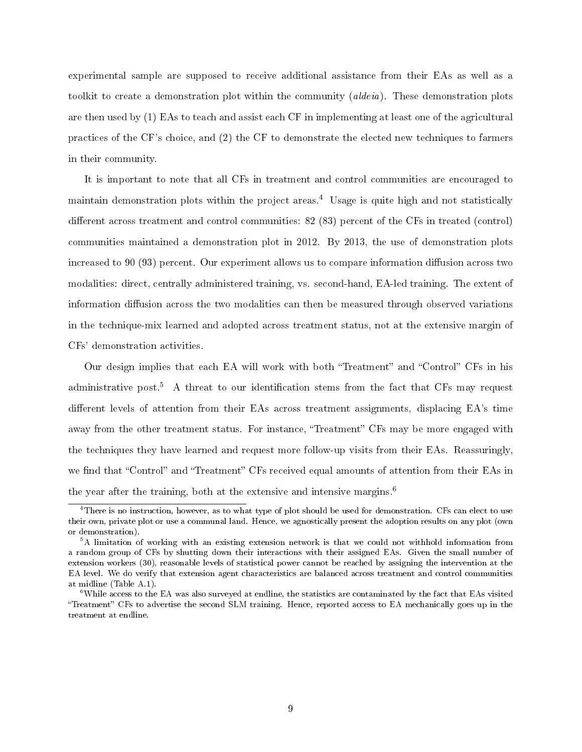experimental sample are supposed to receive additional assistance from their EAs as well as a toolkit to create a demonstration plot within the community *(aldeia)*. These demonstration plots are then used by (1) EAs to teach and assist each CF in implementing at least one of the agricultural practices of the CF's choice, and (2) the CF to demonstrate the elected new techniques to farmers in their community.

It is important to note that all CFs in treatment and control communities are encouraged to maintain demonstration plots within the project areas.<sup>4</sup> Usage is quite high and not statistically different across treatment and control communities:  $82$  ( $83$ ) percent of the CFs in treated (control) communities maintained a demonstration plot in 2012. By 2013, the use of demonstration plots increased to 90 (93) percent. Our experiment allows us to compare information diffusion across two modalities: direct, centrally administered training, vs. second-hand, EA-led training. The extent of information diffusion across the two modalities can then be measured through observed variations in the technique-mix learned and adopted across treatment status, not at the extensive margin of CFs' demonstration activities.

Our design implies that each EA will work with both "Treatment" and "Control" CFs in his administrative post.<sup>5</sup> A threat to our identification stems from the fact that CFs may request different levels of attention from their EAs across treatment assignments, displacing EA's time away from the other treatment status. For instance, "Treatment" CFs may be more engaged with the techniques they have learned and request more follow-up visits from their EAs. Reassuringly, we find that "Control" and "Treatment" CFs received equal amounts of attention from their EAs in the year after the training, both at the extensive and intensive margins.<sup>6</sup>

 $4$ There is no instruction, however, as to what type of plot should be used for demonstration. CFs can elect to use their own, private plot or use a communal land. Hence, we agnostically present the adoption results on any plot (own or demonstration).

<sup>&</sup>lt;sup>5</sup>A limitation of working with an existing extension network is that we could not withhold information from a random group of CFs by shutting down their interactions with their assigned EAs. Given the small number of extension workers (30), reasonable levels of statistical power cannot be reached by assigning the intervention at the EA level. We do verify that extension agent characteristics are balanced across treatment and control communities at midline (Table A.1).

 $6$ While access to the EA was also surveyed at endline, the statistics are contaminated by the fact that EAs visited "Treatment" CFs to advertise the second SLM training. Hence, reported access to EA mechanically goes up in the treatment at endline.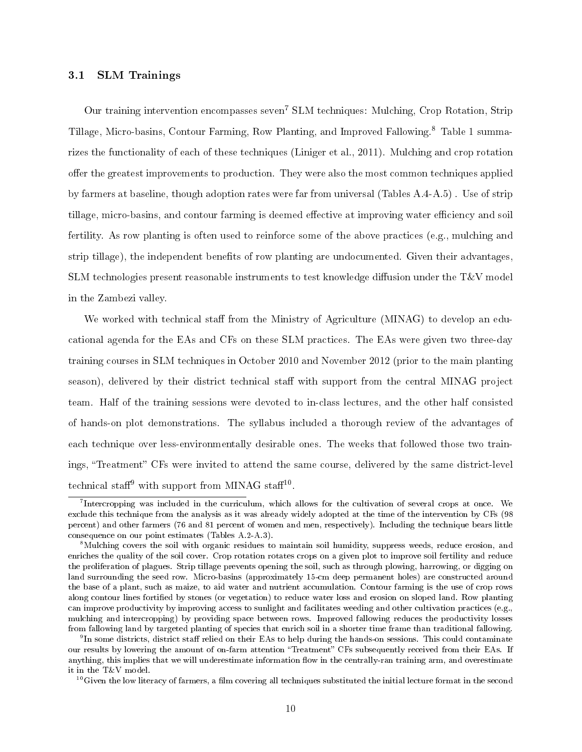#### 3.1 SLM Trainings

Our training intervention encompasses seven<sup>7</sup> SLM techniques: Mulching, Crop Rotation, Strip Tillage, Micro-basins, Contour Farming, Row Planting, and Improved Fallowing.<sup>8</sup> Table 1 summarizes the functionality of each of these techniques (Liniger et al., 2011). Mulching and crop rotation offer the greatest improvements to production. They were also the most common techniques applied by farmers at baseline, though adoption rates were far from universal (Tables A.4-A.5) . Use of strip tillage, micro-basins, and contour farming is deemed effective at improving water efficiency and soil fertility. As row planting is often used to reinforce some of the above practices (e.g., mulching and strip tillage), the independent benefits of row planting are undocumented. Given their advantages, SLM technologies present reasonable instruments to test knowledge diffusion under the  $T&V$  model in the Zambezi valley.

We worked with technical staff from the Ministry of Agriculture (MINAG) to develop an educational agenda for the EAs and CFs on these SLM practices. The EAs were given two three-day training courses in SLM techniques in October 2010 and November 2012 (prior to the main planting season), delivered by their district technical staff with support from the central MINAG project team. Half of the training sessions were devoted to in-class lectures, and the other half consisted of hands-on plot demonstrations. The syllabus included a thorough review of the advantages of each technique over less-environmentally desirable ones. The weeks that followed those two trainings, "Treatment" CFs were invited to attend the same course, delivered by the same district-level technical staff<sup>9</sup> with support from MINAG staff<sup>10</sup>.

<sup>9</sup>In some districts, district staff relied on their EAs to help during the hands-on sessions. This could contaminate our results by lowering the amount of on-farm attention "Treatment" CFs subsequently received from their EAs. If anything, this implies that we will underestimate information flow in the centrally-ran training arm, and overestimate it in the T&V model.

 $10$ Given the low literacy of farmers, a film covering all techniques substituted the initial lecture format in the second

 $^7$ Intercropping was included in the curriculum, which allows for the cultivation of several crops at once. We exclude this technique from the analysis as it was already widely adopted at the time of the intervention by CFs (98 percent) and other farmers (76 and 81 percent of women and men, respectively). Including the technique bears little consequence on our point estimates (Tables A.2-A.3).

<sup>8</sup>Mulching covers the soil with organic residues to maintain soil humidity, suppress weeds, reduce erosion, and enriches the quality of the soil cover. Crop rotation rotates crops on a given plot to improve soil fertility and reduce the proliferation of plagues. Strip tillage prevents opening the soil, such as through plowing, harrowing, or digging on land surrounding the seed row. Micro-basins (approximately 15-cm deep permanent holes) are constructed around the base of a plant, such as maize, to aid water and nutrient accumulation. Contour farming is the use of crop rows along contour lines fortified by stones (or vegetation) to reduce water loss and erosion on sloped land. Row planting can improve productivity by improving access to sunlight and facilitates weeding and other cultivation practices (e.g., mulching and intercropping) by providing space between rows. Improved fallowing reduces the productivity losses from fallowing land by targeted planting of species that enrich soil in a shorter time frame than traditional fallowing.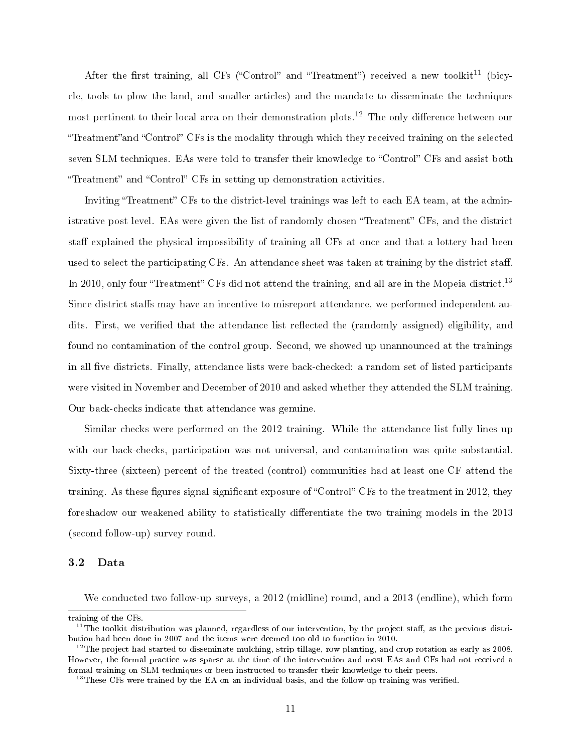After the first training, all CFs ("Control" and "Treatment") received a new toolkit<sup>11</sup> (bicycle, tools to plow the land, and smaller articles) and the mandate to disseminate the techniques most pertinent to their local area on their demonstration plots.<sup>12</sup> The only difference between our "Treatment" and "Control" CFs is the modality through which they received training on the selected seven SLM techniques. EAs were told to transfer their knowledge to "Control" CFs and assist both "Treatment" and "Control" CFs in setting up demonstration activities.

Inviting "Treatment" CFs to the district-level trainings was left to each EA team, at the administrative post level. EAs were given the list of randomly chosen "Treatment" CFs, and the district staff explained the physical impossibility of training all CFs at once and that a lottery had been used to select the participating CFs. An attendance sheet was taken at training by the district staff. In 2010, only four "Treatment" CFs did not attend the training, and all are in the Mopeia district.<sup>13</sup> Since district staffs may have an incentive to misreport attendance, we performed independent audits. First, we verified that the attendance list reflected the (randomly assigned) eligibility, and found no contamination of the control group. Second, we showed up unannounced at the trainings in all five districts. Finally, attendance lists were back-checked: a random set of listed participants were visited in November and December of 2010 and asked whether they attended the SLM training. Our back-checks indicate that attendance was genuine.

Similar checks were performed on the 2012 training. While the attendance list fully lines up with our back-checks, participation was not universal, and contamination was quite substantial. Sixty-three (sixteen) percent of the treated (control) communities had at least one CF attend the training. As these figures signal significant exposure of "Control" CFs to the treatment in 2012, they foreshadow our weakened ability to statistically differentiate the two training models in the 2013 (second follow-up) survey round.

#### 3.2 Data

We conducted two follow-up surveys, a 2012 (midline) round, and a 2013 (endline), which form

training of the CFs.

 $11$ The toolkit distribution was planned, regardless of our intervention, by the project staff, as the previous distribution had been done in 2007 and the items were deemed too old to function in 2010.

<sup>&</sup>lt;sup>12</sup>The project had started to disseminate mulching, strip tillage, row planting, and crop rotation as early as 2008. However, the formal practice was sparse at the time of the intervention and most EAs and CFs had not received a formal training on SLM techniques or been instructed to transfer their knowledge to their peers.

 $^{13}$ These CFs were trained by the EA on an individual basis, and the follow-up training was verified.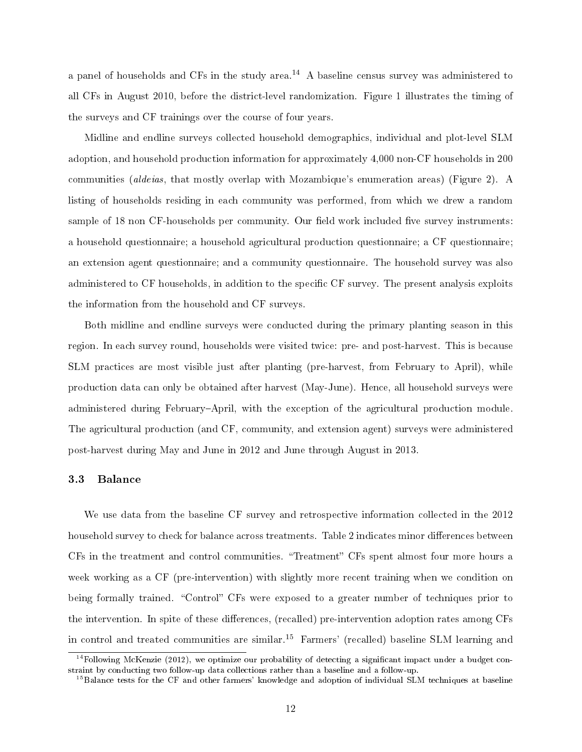a panel of households and CFs in the study area.<sup>14</sup> A baseline census survey was administered to all CFs in August 2010, before the district-level randomization. Figure 1 illustrates the timing of the surveys and CF trainings over the course of four years.

Midline and endline surveys collected household demographics, individual and plot-level SLM adoption, and household production information for approximately 4,000 non-CF households in 200 communities (aldeias, that mostly overlap with Mozambique's enumeration areas) (Figure 2). A listing of households residing in each community was performed, from which we drew a random sample of 18 non CF-households per community. Our field work included five survey instruments: a household questionnaire; a household agricultural production questionnaire; a CF questionnaire; an extension agent questionnaire; and a community questionnaire. The household survey was also administered to CF households, in addition to the specific CF survey. The present analysis exploits the information from the household and CF surveys.

Both midline and endline surveys were conducted during the primary planting season in this region. In each survey round, households were visited twice: pre- and post-harvest. This is because SLM practices are most visible just after planting (pre-harvest, from February to April), while production data can only be obtained after harvest (May-June). Hence, all household surveys were administered during February-April, with the exception of the agricultural production module. The agricultural production (and CF, community, and extension agent) surveys were administered post-harvest during May and June in 2012 and June through August in 2013.

#### 3.3 Balance

We use data from the baseline CF survey and retrospective information collected in the 2012 household survey to check for balance across treatments. Table 2 indicates minor differences between CFs in the treatment and control communities. "Treatment" CFs spent almost four more hours a week working as a CF (pre-intervention) with slightly more recent training when we condition on being formally trained. "Control" CFs were exposed to a greater number of techniques prior to the intervention. In spite of these differences, (recalled) pre-intervention adoption rates among CFs in control and treated communities are similar.<sup>15</sup> Farmers' (recalled) baseline SLM learning and

 $14$ Following McKenzie (2012), we optimize our probability of detecting a significant impact under a budget constraint by conducting two follow-up data collections rather than a baseline and a follow-up.

<sup>&</sup>lt;sup>15</sup>Balance tests for the CF and other farmers' knowledge and adoption of individual SLM techniques at baseline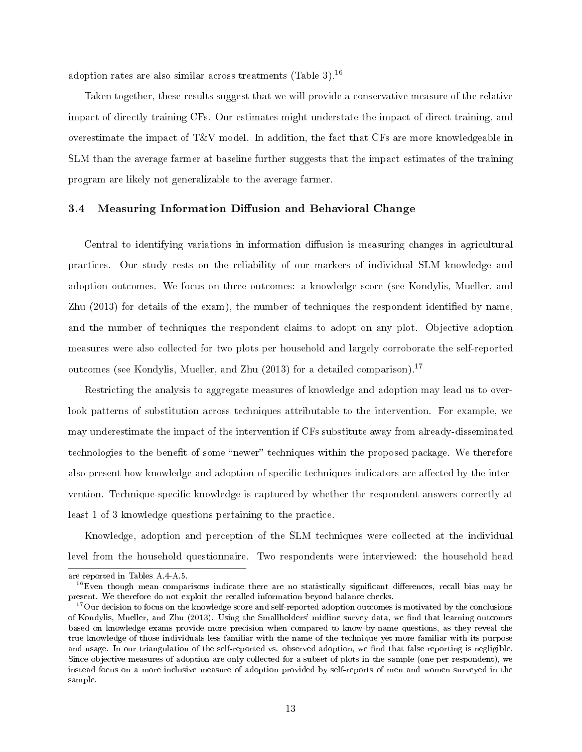adoption rates are also similar across treatments (Table 3).<sup>16</sup>

Taken together, these results suggest that we will provide a conservative measure of the relative impact of directly training CFs. Our estimates might understate the impact of direct training, and overestimate the impact of  $T\&V$  model. In addition, the fact that CFs are more knowledgeable in SLM than the average farmer at baseline further suggests that the impact estimates of the training program are likely not generalizable to the average farmer.

#### 3.4 Measuring Information Diffusion and Behavioral Change

Central to identifying variations in information diffusion is measuring changes in agricultural practices. Our study rests on the reliability of our markers of individual SLM knowledge and adoption outcomes. We focus on three outcomes: a knowledge score (see Kondylis, Mueller, and Zhu (2013) for details of the exam), the number of techniques the respondent identified by name, and the number of techniques the respondent claims to adopt on any plot. Objective adoption measures were also collected for two plots per household and largely corroborate the self-reported outcomes (see Kondylis, Mueller, and Zhu (2013) for a detailed comparison).<sup>17</sup>

Restricting the analysis to aggregate measures of knowledge and adoption may lead us to overlook patterns of substitution across techniques attributable to the intervention. For example, we may underestimate the impact of the intervention if CFs substitute away from already-disseminated technologies to the benefit of some "newer" techniques within the proposed package. We therefore also present how knowledge and adoption of specific techniques indicators are affected by the intervention. Technique-specific knowledge is captured by whether the respondent answers correctly at least 1 of 3 knowledge questions pertaining to the practice.

Knowledge, adoption and perception of the SLM techniques were collected at the individual level from the household questionnaire. Two respondents were interviewed: the household head

are reported in Tables A.4-A.5.

 $16$ Even though mean comparisons indicate there are no statistically significant differences, recall bias may be present. We therefore do not exploit the recalled information beyond balance checks.

 $17$ Our decision to focus on the knowledge score and self-reported adoption outcomes is motivated by the conclusions of Kondylis, Mueller, and Zhu (2013). Using the Smallholders' midline survey data, we find that learning outcomes based on knowledge exams provide more precision when compared to know-by-name questions, as they reveal the true knowledge of those individuals less familiar with the name of the technique yet more familiar with its purpose and usage. In our triangulation of the self-reported vs. observed adoption, we find that false reporting is negligible. Since objective measures of adoption are only collected for a subset of plots in the sample (one per respondent), we instead focus on a more inclusive measure of adoption provided by self-reports of men and women surveyed in the sample.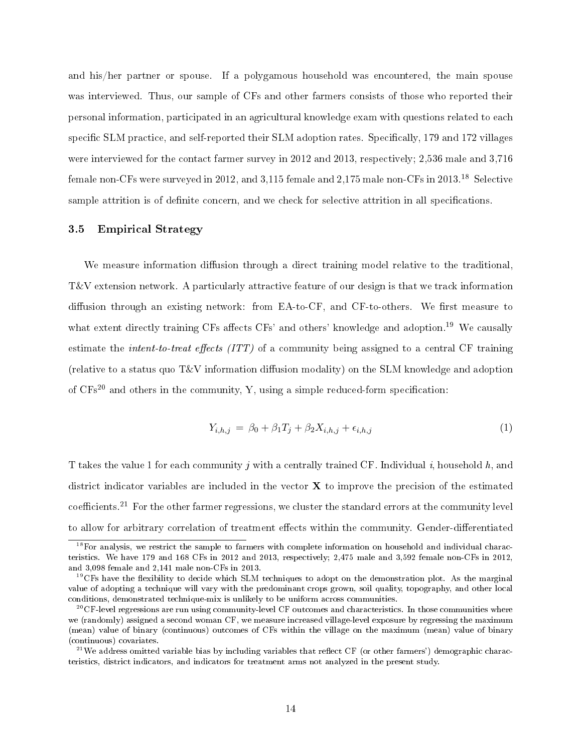and his/her partner or spouse. If a polygamous household was encountered, the main spouse was interviewed. Thus, our sample of CFs and other farmers consists of those who reported their personal information, participated in an agricultural knowledge exam with questions related to each specific SLM practice, and self-reported their SLM adoption rates. Specifically, 179 and 172 villages were interviewed for the contact farmer survey in 2012 and 2013, respectively; 2,536 male and 3,716 female non-CFs were surveyed in 2012, and 3,115 female and 2,175 male non-CFs in 2013.<sup>18</sup> Selective sample attrition is of definite concern, and we check for selective attrition in all specifications.

#### 3.5 Empirical Strategy

We measure information diffusion through a direct training model relative to the traditional, T&V extension network. A particularly attractive feature of our design is that we track information diffusion through an existing network: from  $E\text{A-to-CF}$ , and  $CF\text{-to-others}$ . We first measure to what extent directly training CFs affects CFs' and others' knowledge and adoption.<sup>19</sup> We causally estimate the *intent-to-treat effects* (ITT) of a community being assigned to a central CF training (relative to a status quo  $T&V$  information diffusion modality) on the SLM knowledge and adoption of  $CFs^{20}$  and others in the community, Y, using a simple reduced-form specification:

$$
Y_{i,h,j} = \beta_0 + \beta_1 T_j + \beta_2 X_{i,h,j} + \epsilon_{i,h,j} \tag{1}
$$

T takes the value 1 for each community j with a centrally trained CF. Individual i, household  $h$ , and district indicator variables are included in the vector  $X$  to improve the precision of the estimated coefficients.<sup>21</sup> For the other farmer regressions, we cluster the standard errors at the community level to allow for arbitrary correlation of treatment effects within the community. Gender-differentiated

 $18$ For analysis, we restrict the sample to farmers with complete information on household and individual characteristics. We have 179 and 168 CFs in 2012 and 2013, respectively; 2,475 male and 3,592 female non-CFs in 2012, and 3,098 female and 2,141 male non-CFs in 2013.

 $19^9$ CFs have the flexibility to decide which SLM techniques to adopt on the demonstration plot. As the marginal value of adopting a technique will vary with the predominant crops grown, soil quality, topography, and other local conditions, demonstrated technique-mix is unlikely to be uniform across communities.

 $^{20}$ CF-level regressions are run using community-level CF outcomes and characteristics. In those communities where we (randomly) assigned a second woman CF, we measure increased village-level exposure by regressing the maximum (mean) value of binary (continuous) outcomes of CFs within the village on the maximum (mean) value of binary (continuous) covariates.

 $^{21}$ We address omitted variable bias by including variables that reflect CF (or other farmers') demographic characteristics, district indicators, and indicators for treatment arms not analyzed in the present study.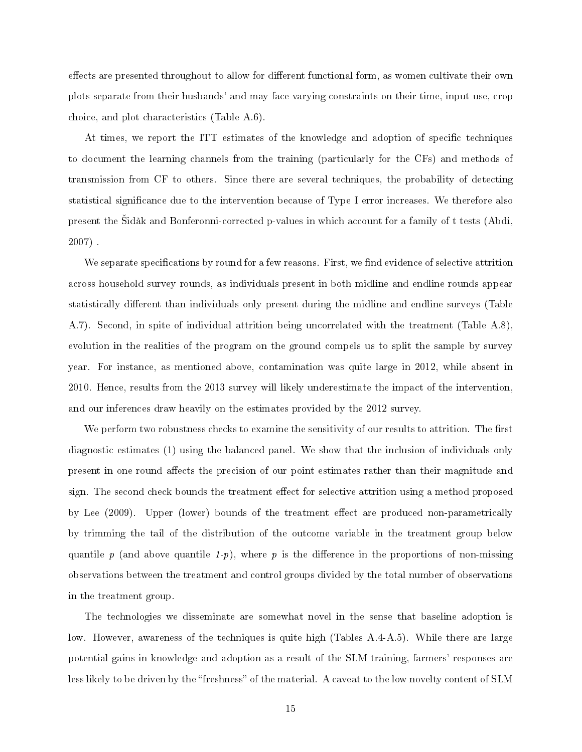effects are presented throughout to allow for different functional form, as women cultivate their own plots separate from their husbands' and may face varying constraints on their time, input use, crop choice, and plot characteristics (Table A.6).

At times, we report the ITT estimates of the knowledge and adoption of specific techniques to document the learning channels from the training (particularly for the CFs) and methods of transmission from CF to others. Since there are several techniques, the probability of detecting statistical signicance due to the intervention because of Type I error increases. We therefore also present the Sidàk and Bonferonni-corrected p-values in which account for a family of t tests (Abdi, 2007) .

We separate specifications by round for a few reasons. First, we find evidence of selective attrition across household survey rounds, as individuals present in both midline and endline rounds appear statistically different than individuals only present during the midline and endline surveys (Table A.7). Second, in spite of individual attrition being uncorrelated with the treatment (Table A.8), evolution in the realities of the program on the ground compels us to split the sample by survey year. For instance, as mentioned above, contamination was quite large in 2012, while absent in 2010. Hence, results from the 2013 survey will likely underestimate the impact of the intervention, and our inferences draw heavily on the estimates provided by the 2012 survey.

We perform two robustness checks to examine the sensitivity of our results to attrition. The first diagnostic estimates (1) using the balanced panel. We show that the inclusion of individuals only present in one round affects the precision of our point estimates rather than their magnitude and sign. The second check bounds the treatment effect for selective attrition using a method proposed by Lee (2009). Upper (lower) bounds of the treatment effect are produced non-parametrically by trimming the tail of the distribution of the outcome variable in the treatment group below quantile p (and above quantile 1-p), where p is the difference in the proportions of non-missing observations between the treatment and control groups divided by the total number of observations in the treatment group.

The technologies we disseminate are somewhat novel in the sense that baseline adoption is low. However, awareness of the techniques is quite high (Tables A.4-A.5). While there are large potential gains in knowledge and adoption as a result of the SLM training, farmers' responses are less likely to be driven by the "freshness" of the material. A caveat to the low novelty content of SLM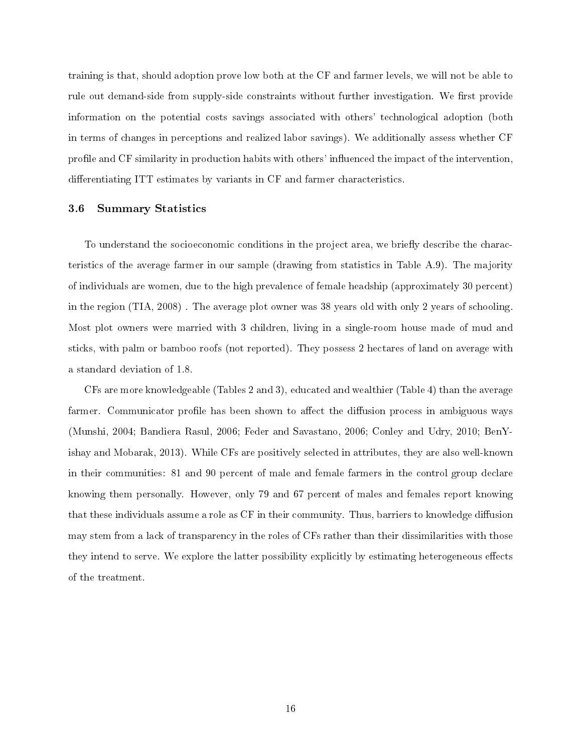training is that, should adoption prove low both at the CF and farmer levels, we will not be able to rule out demand-side from supply-side constraints without further investigation. We first provide information on the potential costs savings associated with others' technological adoption (both in terms of changes in perceptions and realized labor savings). We additionally assess whether CF profile and CF similarity in production habits with others' influenced the impact of the intervention, differentiating ITT estimates by variants in CF and farmer characteristics.

#### 3.6 Summary Statistics

To understand the socioeconomic conditions in the project area, we briefly describe the characteristics of the average farmer in our sample (drawing from statistics in Table A.9). The majority of individuals are women, due to the high prevalence of female headship (approximately 30 percent) in the region (TIA, 2008) . The average plot owner was 38 years old with only 2 years of schooling. Most plot owners were married with 3 children, living in a single-room house made of mud and sticks, with palm or bamboo roofs (not reported). They possess 2 hectares of land on average with a standard deviation of 1.8.

CFs are more knowledgeable (Tables 2 and 3), educated and wealthier (Table 4) than the average farmer. Communicator profile has been shown to affect the diffusion process in ambiguous ways (Munshi, 2004; Bandiera Rasul, 2006; Feder and Savastano, 2006; Conley and Udry, 2010; BenYishay and Mobarak, 2013). While CFs are positively selected in attributes, they are also well-known in their communities: 81 and 90 percent of male and female farmers in the control group declare knowing them personally. However, only 79 and 67 percent of males and females report knowing that these individuals assume a role as CF in their community. Thus, barriers to knowledge diffusion may stem from a lack of transparency in the roles of CFs rather than their dissimilarities with those they intend to serve. We explore the latter possibility explicitly by estimating heterogeneous effects of the treatment.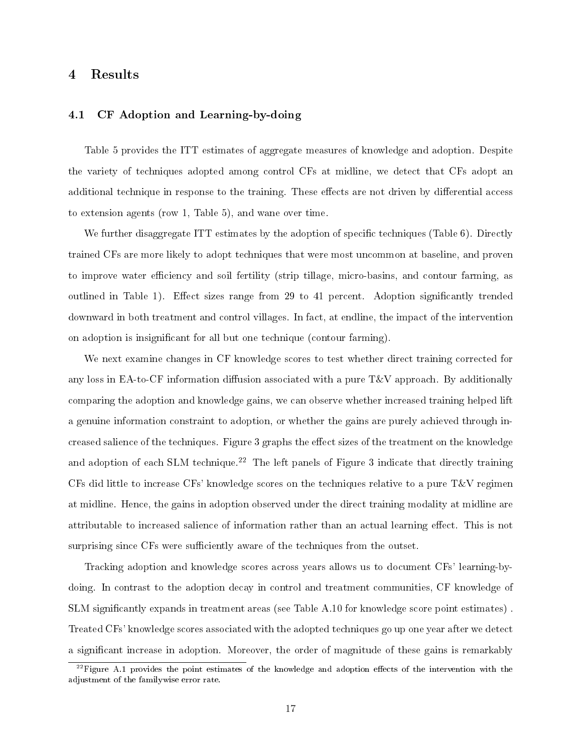## 4 Results

#### 4.1 CF Adoption and Learning-by-doing

Table 5 provides the ITT estimates of aggregate measures of knowledge and adoption. Despite the variety of techniques adopted among control CFs at midline, we detect that CFs adopt an additional technique in response to the training. These effects are not driven by differential access to extension agents (row 1, Table 5), and wane over time.

We further disaggregate ITT estimates by the adoption of specific techniques (Table 6). Directly trained CFs are more likely to adopt techniques that were most uncommon at baseline, and proven to improve water efficiency and soil fertility (strip tillage, micro-basins, and contour farming, as outlined in Table 1). Effect sizes range from 29 to 41 percent. Adoption significantly trended downward in both treatment and control villages. In fact, at endline, the impact of the intervention on adoption is insignicant for all but one technique (contour farming).

We next examine changes in CF knowledge scores to test whether direct training corrected for any loss in EA-to-CF information diffusion associated with a pure  $T&V$  approach. By additionally comparing the adoption and knowledge gains, we can observe whether increased training helped lift a genuine information constraint to adoption, or whether the gains are purely achieved through increased salience of the techniques. Figure 3 graphs the effect sizes of the treatment on the knowledge and adoption of each SLM technique.<sup>22</sup> The left panels of Figure 3 indicate that directly training CFs did little to increase CFs' knowledge scores on the techniques relative to a pure  $T\&V$  regimen at midline. Hence, the gains in adoption observed under the direct training modality at midline are attributable to increased salience of information rather than an actual learning effect. This is not surprising since CFs were sufficiently aware of the techniques from the outset.

Tracking adoption and knowledge scores across years allows us to document CFs' learning-bydoing. In contrast to the adoption decay in control and treatment communities, CF knowledge of SLM significantly expands in treatment areas (see Table A.10 for knowledge score point estimates). Treated CFs' knowledge scores associated with the adopted techniques go up one year after we detect a signicant increase in adoption. Moreover, the order of magnitude of these gains is remarkably

 $^{22}$ Figure A.1 provides the point estimates of the knowledge and adoption effects of the intervention with the adjustment of the familywise error rate.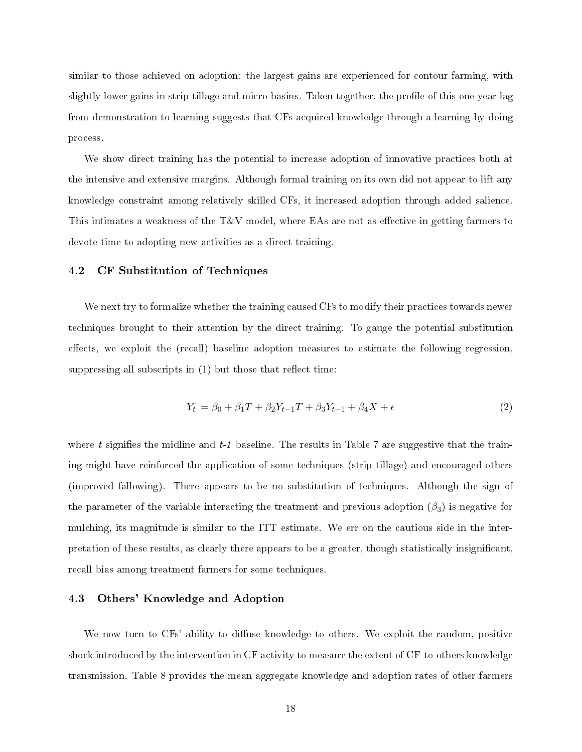similar to those achieved on adoption: the largest gains are experienced for contour farming, with slightly lower gains in strip tillage and micro-basins. Taken together, the profile of this one-year lag from demonstration to learning suggests that CFs acquired knowledge through a learning-by-doing process.

We show direct training has the potential to increase adoption of innovative practices both at the intensive and extensive margins. Although formal training on its own did not appear to lift any knowledge constraint among relatively skilled CFs, it increased adoption through added salience. This intimates a weakness of the  $T&V$  model, where EAs are not as effective in getting farmers to devote time to adopting new activities as a direct training.

#### 4.2 CF Substitution of Techniques

We next try to formalize whether the training caused CFs to modify their practices towards newer techniques brought to their attention by the direct training. To gauge the potential substitution effects, we exploit the (recall) baseline adoption measures to estimate the following regression, suppressing all subscripts in  $(1)$  but those that reflect time:

$$
Y_t = \beta_0 + \beta_1 T + \beta_2 Y_{t-1} + \beta_3 Y_{t-1} + \beta_4 X + \epsilon \tag{2}
$$

where t signifies the midline and  $t-1$  baseline. The results in Table 7 are suggestive that the training might have reinforced the application of some techniques (strip tillage) and encouraged others (improved fallowing). There appears to be no substitution of techniques. Although the sign of the parameter of the variable interacting the treatment and previous adoption  $(\beta_3)$  is negative for mulching, its magnitude is similar to the ITT estimate. We err on the cautious side in the interpretation of these results, as clearly there appears to be a greater, though statistically insignicant, recall bias among treatment farmers for some techniques.

#### 4.3 Others' Knowledge and Adoption

We now turn to CFs' ability to diffuse knowledge to others. We exploit the random, positive shock introduced by the intervention in CF activity to measure the extent of CF-to-others knowledge transmission. Table 8 provides the mean aggregate knowledge and adoption rates of other farmers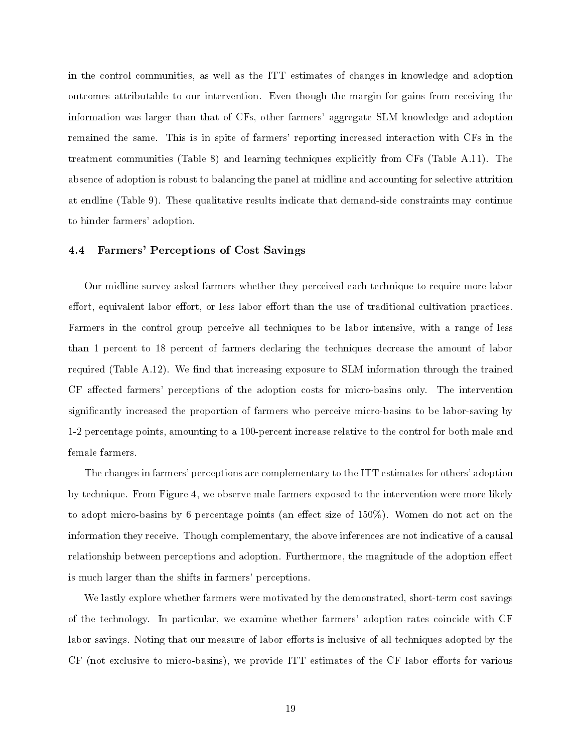in the control communities, as well as the ITT estimates of changes in knowledge and adoption outcomes attributable to our intervention. Even though the margin for gains from receiving the information was larger than that of CFs, other farmers' aggregate SLM knowledge and adoption remained the same. This is in spite of farmers' reporting increased interaction with CFs in the treatment communities (Table 8) and learning techniques explicitly from CFs (Table A.11). The absence of adoption is robust to balancing the panel at midline and accounting for selective attrition at endline (Table 9). These qualitative results indicate that demand-side constraints may continue to hinder farmers' adoption.

#### 4.4 Farmers' Perceptions of Cost Savings

Our midline survey asked farmers whether they perceived each technique to require more labor effort, equivalent labor effort, or less labor effort than the use of traditional cultivation practices. Farmers in the control group perceive all techniques to be labor intensive, with a range of less than 1 percent to 18 percent of farmers declaring the techniques decrease the amount of labor required (Table  $A.12$ ). We find that increasing exposure to SLM information through the trained CF affected farmers' perceptions of the adoption costs for micro-basins only. The intervention signicantly increased the proportion of farmers who perceive micro-basins to be labor-saving by 1-2 percentage points, amounting to a 100-percent increase relative to the control for both male and female farmers.

The changes in farmers' perceptions are complementary to the ITT estimates for others' adoption by technique. From Figure 4, we observe male farmers exposed to the intervention were more likely to adopt micro-basins by 6 percentage points (an effect size of  $150\%$ ). Women do not act on the information they receive. Though complementary, the above inferences are not indicative of a causal relationship between perceptions and adoption. Furthermore, the magnitude of the adoption effect is much larger than the shifts in farmers' perceptions.

We lastly explore whether farmers were motivated by the demonstrated, short-term cost savings of the technology. In particular, we examine whether farmers' adoption rates coincide with CF labor savings. Noting that our measure of labor efforts is inclusive of all techniques adopted by the CF (not exclusive to micro-basins), we provide ITT estimates of the CF labor efforts for various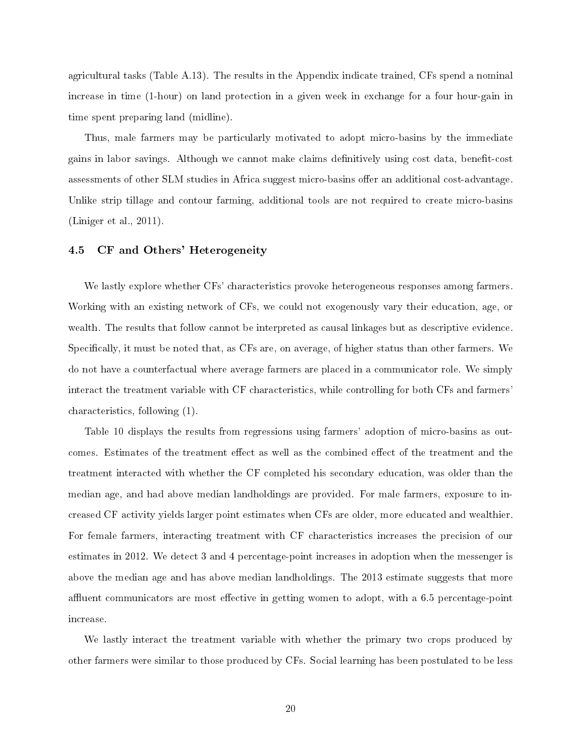agricultural tasks (Table A.13). The results in the Appendix indicate trained, CFs spend a nominal increase in time (1-hour) on land protection in a given week in exchange for a four hour-gain in time spent preparing land (midline).

Thus, male farmers may be particularly motivated to adopt micro-basins by the immediate gains in labor savings. Although we cannot make claims definitively using cost data, benefit-cost assessments of other SLM studies in Africa suggest micro-basins offer an additional cost-advantage. Unlike strip tillage and contour farming, additional tools are not required to create micro-basins (Liniger et al., 2011).

#### 4.5 CF and Others' Heterogeneity

We lastly explore whether CFs' characteristics provoke heterogeneous responses among farmers. Working with an existing network of CFs, we could not exogenously vary their education, age, or wealth. The results that follow cannot be interpreted as causal linkages but as descriptive evidence. Specifically, it must be noted that, as CFs are, on average, of higher status than other farmers. We do not have a counterfactual where average farmers are placed in a communicator role. We simply interact the treatment variable with CF characteristics, while controlling for both CFs and farmers' characteristics, following (1).

Table 10 displays the results from regressions using farmers' adoption of micro-basins as outcomes. Estimates of the treatment effect as well as the combined effect of the treatment and the treatment interacted with whether the CF completed his secondary education, was older than the median age, and had above median landholdings are provided. For male farmers, exposure to increased CF activity yields larger point estimates when CFs are older, more educated and wealthier. For female farmers, interacting treatment with CF characteristics increases the precision of our estimates in 2012. We detect 3 and 4 percentage-point increases in adoption when the messenger is above the median age and has above median landholdings. The 2013 estimate suggests that more affluent communicators are most effective in getting women to adopt, with a 6.5 percentage-point increase.

We lastly interact the treatment variable with whether the primary two crops produced by other farmers were similar to those produced by CFs. Social learning has been postulated to be less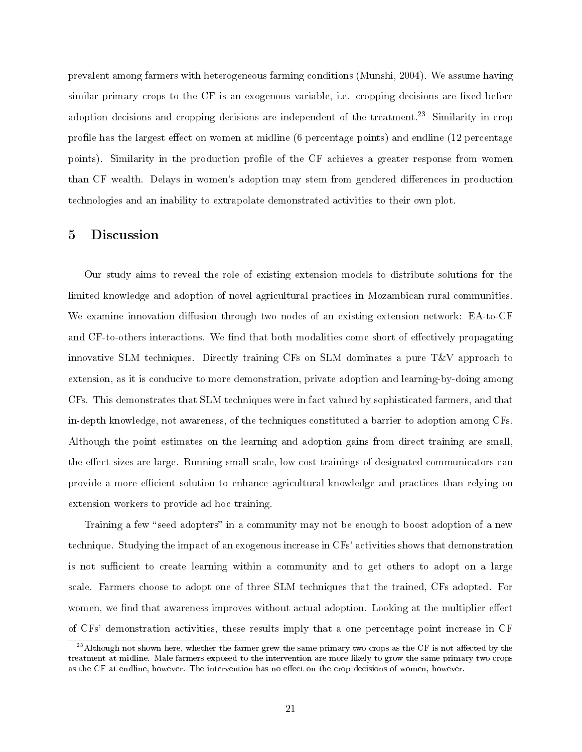prevalent among farmers with heterogeneous farming conditions (Munshi, 2004). We assume having similar primary crops to the CF is an exogenous variable, i.e. cropping decisions are fixed before adoption decisions and cropping decisions are independent of the treatment.<sup>23</sup> Similarity in crop profile has the largest effect on women at midline (6 percentage points) and endline (12 percentage points). Similarity in the production profile of the CF achieves a greater response from women than CF wealth. Delays in women's adoption may stem from gendered differences in production technologies and an inability to extrapolate demonstrated activities to their own plot.

### 5 Discussion

Our study aims to reveal the role of existing extension models to distribute solutions for the limited knowledge and adoption of novel agricultural practices in Mozambican rural communities. We examine innovation diffusion through two nodes of an existing extension network: EA-to-CF and CF-to-others interactions. We find that both modalities come short of effectively propagating innovative SLM techniques. Directly training CFs on SLM dominates a pure  $T\&V$  approach to extension, as it is conducive to more demonstration, private adoption and learning-by-doing among CFs. This demonstrates that SLM techniques were in fact valued by sophisticated farmers, and that in-depth knowledge, not awareness, of the techniques constituted a barrier to adoption among CFs. Although the point estimates on the learning and adoption gains from direct training are small, the effect sizes are large. Running small-scale, low-cost trainings of designated communicators can provide a more efficient solution to enhance agricultural knowledge and practices than relying on extension workers to provide ad hoc training.

Training a few "seed adopters" in a community may not be enough to boost adoption of a new technique. Studying the impact of an exogenous increase in CFs' activities shows that demonstration is not sufficient to create learning within a community and to get others to adopt on a large scale. Farmers choose to adopt one of three SLM techniques that the trained, CFs adopted. For women, we find that awareness improves without actual adoption. Looking at the multiplier effect of CFs' demonstration activities, these results imply that a one percentage point increase in CF

 $^{23}$ Although not shown here, whether the farmer grew the same primary two crops as the CF is not affected by the treatment at midline. Male farmers exposed to the intervention are more likely to grow the same primary two crops as the CF at endline, however. The intervention has no effect on the crop decisions of women, however.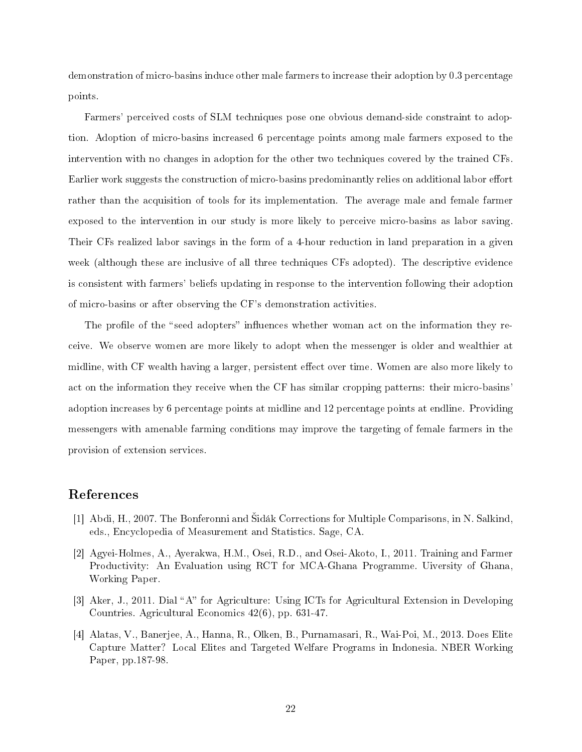demonstration of micro-basins induce other male farmers to increase their adoption by 0.3 percentage points.

Farmers' perceived costs of SLM techniques pose one obvious demand-side constraint to adoption. Adoption of micro-basins increased 6 percentage points among male farmers exposed to the intervention with no changes in adoption for the other two techniques covered by the trained CFs. Earlier work suggests the construction of micro-basins predominantly relies on additional labor effort rather than the acquisition of tools for its implementation. The average male and female farmer exposed to the intervention in our study is more likely to perceive micro-basins as labor saving. Their CFs realized labor savings in the form of a 4-hour reduction in land preparation in a given week (although these are inclusive of all three techniques CFs adopted). The descriptive evidence is consistent with farmers' beliefs updating in response to the intervention following their adoption of micro-basins or after observing the CF's demonstration activities.

The profile of the "seed adopters" influences whether woman act on the information they receive. We observe women are more likely to adopt when the messenger is older and wealthier at midline, with CF wealth having a larger, persistent effect over time. Women are also more likely to act on the information they receive when the CF has similar cropping patterns: their micro-basins' adoption increases by 6 percentage points at midline and 12 percentage points at endline. Providing messengers with amenable farming conditions may improve the targeting of female farmers in the provision of extension services.

### References

- [1] Abdi, H., 2007. The Bonferonni and Sidák Corrections for Multiple Comparisons, in N. Salkind, eds., Encyclopedia of Measurement and Statistics. Sage, CA.
- [2] Agyei-Holmes, A., Ayerakwa, H.M., Osei, R.D., and Osei-Akoto, I., 2011. Training and Farmer Productivity: An Evaluation using RCT for MCA-Ghana Programme. Uiversity of Ghana, Working Paper.
- [3] Aker, J., 2011. Dial "A" for Agriculture: Using ICTs for Agricultural Extension in Developing Countries. Agricultural Economics 42(6), pp. 631-47.
- [4] Alatas, V., Banerjee, A., Hanna, R., Olken, B., Purnamasari, R., Wai-Poi, M., 2013. Does Elite Capture Matter? Local Elites and Targeted Welfare Programs in Indonesia. NBER Working Paper, pp.187-98.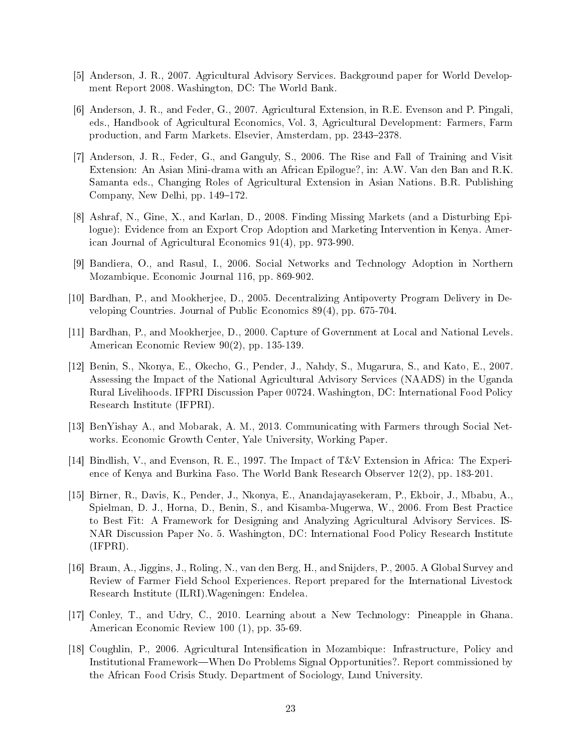- [5] Anderson, J. R., 2007. Agricultural Advisory Services. Background paper for World Development Report 2008. Washington, DC: The World Bank.
- [6] Anderson, J. R., and Feder, G., 2007. Agricultural Extension, in R.E. Evenson and P. Pingali, eds., Handbook of Agricultural Economics, Vol. 3, Agricultural Development: Farmers, Farm production, and Farm Markets. Elsevier, Amsterdam, pp. 2343-2378.
- [7] Anderson, J. R., Feder, G., and Ganguly, S., 2006. The Rise and Fall of Training and Visit Extension: An Asian Mini-drama with an African Epilogue?, in: A.W. Van den Ban and R.K. Samanta eds., Changing Roles of Agricultural Extension in Asian Nations. B.R. Publishing Company, New Delhi, pp. 149–172.
- [8] Ashraf, N., Gine, X., and Karlan, D., 2008. Finding Missing Markets (and a Disturbing Epilogue): Evidence from an Export Crop Adoption and Marketing Intervention in Kenya. American Journal of Agricultural Economics 91(4), pp. 973-990.
- [9] Bandiera, O., and Rasul, I., 2006. Social Networks and Technology Adoption in Northern Mozambique. Economic Journal 116, pp. 869-902.
- [10] Bardhan, P., and Mookherjee, D., 2005. Decentralizing Antipoverty Program Delivery in Developing Countries. Journal of Public Economics 89(4), pp. 675-704.
- [11] Bardhan, P., and Mookherjee, D., 2000. Capture of Government at Local and National Levels. American Economic Review 90(2), pp. 135-139.
- [12] Benin, S., Nkonya, E., Okecho, G., Pender, J., Nahdy, S., Mugarura, S., and Kato, E., 2007. Assessing the Impact of the National Agricultural Advisory Services (NAADS) in the Uganda Rural Livelihoods. IFPRI Discussion Paper 00724. Washington, DC: International Food Policy Research Institute (IFPRI).
- [13] BenYishay A., and Mobarak, A. M., 2013. Communicating with Farmers through Social Networks. Economic Growth Center, Yale University, Working Paper.
- [14] Bindlish, V., and Evenson, R. E., 1997. The Impact of T&V Extension in Africa: The Experience of Kenya and Burkina Faso. The World Bank Research Observer 12(2), pp. 183-201.
- [15] Birner, R., Davis, K., Pender, J., Nkonya, E., Anandajayasekeram, P., Ekboir, J., Mbabu, A., Spielman, D. J., Horna, D., Benin, S., and Kisamba-Mugerwa, W., 2006. From Best Practice to Best Fit: A Framework for Designing and Analyzing Agricultural Advisory Services. IS-NAR Discussion Paper No. 5. Washington, DC: International Food Policy Research Institute (IFPRI).
- [16] Braun, A., Jiggins, J., Roling, N., van den Berg, H., and Snijders, P., 2005. A Global Survey and Review of Farmer Field School Experiences. Report prepared for the International Livestock Research Institute (ILRI).Wageningen: Endelea.
- [17] Conley, T., and Udry, C., 2010. Learning about a New Technology: Pineapple in Ghana. American Economic Review 100 (1), pp. 35-69.
- [18] Coughlin, P., 2006. Agricultural Intensication in Mozambique: Infrastructure, Policy and Institutional Framework—When Do Problems Signal Opportunities?. Report commissioned by the African Food Crisis Study. Department of Sociology, Lund University.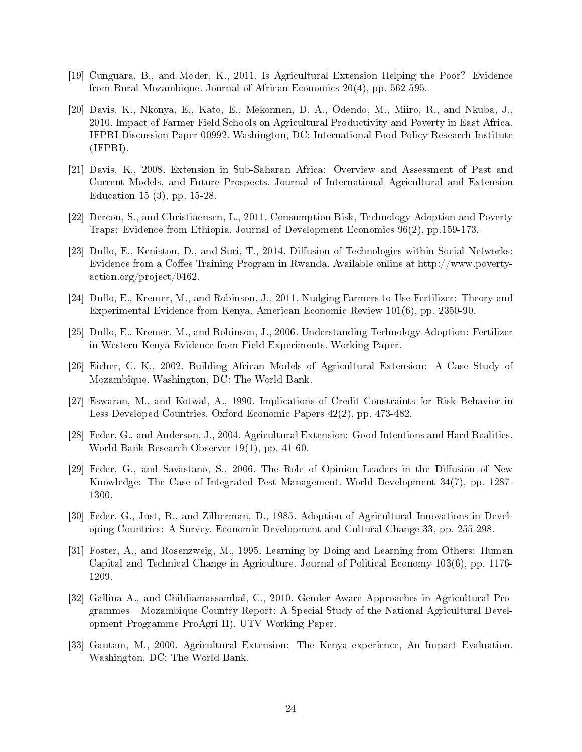- [19] Cunguara, B., and Moder, K., 2011. Is Agricultural Extension Helping the Poor? Evidence from Rural Mozambique. Journal of African Economics 20(4), pp. 562-595.
- [20] Davis, K., Nkonya, E., Kato, E., Mekonnen, D. A., Odendo, M., Miiro, R., and Nkuba, J., 2010. Impact of Farmer Field Schools on Agricultural Productivity and Poverty in East Africa. IFPRI Discussion Paper 00992. Washington, DC: International Food Policy Research Institute (IFPRI).
- [21] Davis, K., 2008. Extension in Sub-Saharan Africa: Overview and Assessment of Past and Current Models, and Future Prospects. Journal of International Agricultural and Extension Education 15 (3), pp. 15-28.
- [22] Dercon, S., and Christiaensen, L., 2011. Consumption Risk, Technology Adoption and Poverty Traps: Evidence from Ethiopia. Journal of Development Economics 96(2), pp.159-173.
- [23] Duflo, E., Keniston, D., and Suri, T., 2014. Diffusion of Technologies within Social Networks: Evidence from a Coffee Training Program in Rwanda. Available online at http://www.povertyaction.org/project/0462.
- [24] Duflo, E., Kremer, M., and Robinson, J., 2011. Nudging Farmers to Use Fertilizer: Theory and Experimental Evidence from Kenya. American Economic Review 101(6), pp. 2350-90.
- [25] Duflo, E., Kremer, M., and Robinson, J., 2006. Understanding Technology Adoption: Fertilizer in Western Kenya Evidence from Field Experiments. Working Paper.
- [26] Eicher, C. K., 2002. Building African Models of Agricultural Extension: A Case Study of Mozambique. Washington, DC: The World Bank.
- [27] Eswaran, M., and Kotwal, A., 1990. Implications of Credit Constraints for Risk Behavior in Less Developed Countries. Oxford Economic Papers 42(2), pp. 473-482.
- [28] Feder, G., and Anderson, J., 2004. Agricultural Extension: Good Intentions and Hard Realities. World Bank Research Observer 19(1), pp. 41-60.
- [29] Feder, G., and Savastano, S., 2006. The Role of Opinion Leaders in the Diffusion of New Knowledge: The Case of Integrated Pest Management. World Development 34(7), pp. 1287- 1300.
- [30] Feder, G., Just, R., and Zilberman, D., 1985. Adoption of Agricultural Innovations in Developing Countries: A Survey. Economic Development and Cultural Change 33, pp. 255-298.
- [31] Foster, A., and Rosenzweig, M., 1995. Learning by Doing and Learning from Others: Human Capital and Technical Change in Agriculture. Journal of Political Economy 103(6), pp. 1176- 1209.
- [32] Gallina A., and Childiamassambal, C., 2010. Gender Aware Approaches in Agricultural Programmes – Mozambique Country Report: A Special Study of the National Agricultural Development Programme ProAgri II). UTV Working Paper.
- [33] Gautam, M., 2000. Agricultural Extension: The Kenya experience, An Impact Evaluation. Washington, DC: The World Bank.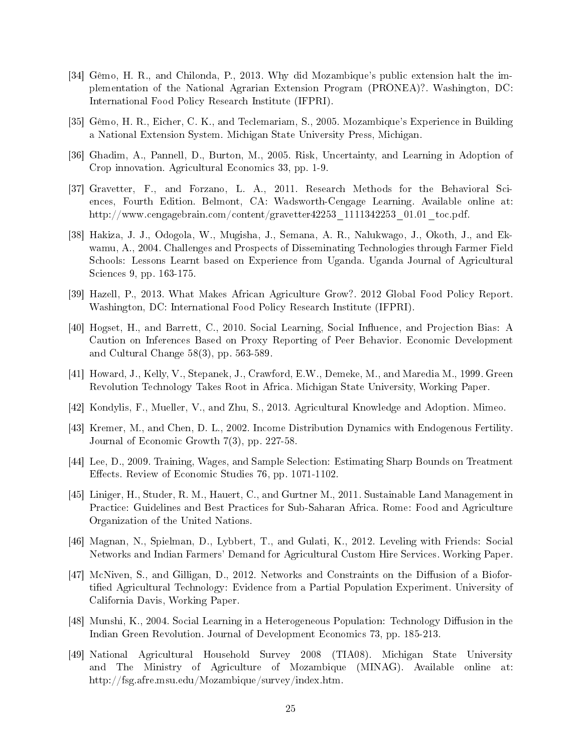- [34] Gêmo, H. R., and Chilonda, P., 2013. Why did Mozambique's public extension halt the implementation of the National Agrarian Extension Program (PRONEA)?. Washington, DC: International Food Policy Research Institute (IFPRI).
- [35] Gêmo, H. R., Eicher, C. K., and Teclemariam, S., 2005. Mozambique's Experience in Building a National Extension System. Michigan State University Press, Michigan.
- [36] Ghadim, A., Pannell, D., Burton, M., 2005. Risk, Uncertainty, and Learning in Adoption of Crop innovation. Agricultural Economics 33, pp. 1-9.
- [37] Gravetter, F., and Forzano, L. A., 2011. Research Methods for the Behavioral Sciences, Fourth Edition. Belmont, CA: Wadsworth-Cengage Learning. Available online at: http://www.cengagebrain.com/content/gravetter42253\_1111342253\_01.01\_toc.pdf.
- [38] Hakiza, J. J., Odogola, W., Mugisha, J., Semana, A. R., Nalukwago, J., Okoth, J., and Ekwamu, A., 2004. Challenges and Prospects of Disseminating Technologies through Farmer Field Schools: Lessons Learnt based on Experience from Uganda. Uganda Journal of Agricultural Sciences 9, pp. 163-175.
- [39] Hazell, P., 2013. What Makes African Agriculture Grow?. 2012 Global Food Policy Report. Washington, DC: International Food Policy Research Institute (IFPRI).
- [40] Hogset, H., and Barrett, C., 2010. Social Learning, Social Influence, and Projection Bias: A Caution on Inferences Based on Proxy Reporting of Peer Behavior. Economic Development and Cultural Change 58(3), pp. 563-589.
- [41] Howard, J., Kelly, V., Stepanek, J., Crawford, E.W., Demeke, M., and Maredia M., 1999. Green Revolution Technology Takes Root in Africa. Michigan State University, Working Paper.
- [42] Kondylis, F., Mueller, V., and Zhu, S., 2013. Agricultural Knowledge and Adoption. Mimeo.
- [43] Kremer, M., and Chen, D. L., 2002. Income Distribution Dynamics with Endogenous Fertility. Journal of Economic Growth 7(3), pp. 227-58.
- [44] Lee, D., 2009. Training, Wages, and Sample Selection: Estimating Sharp Bounds on Treatment Effects. Review of Economic Studies 76, pp. 1071-1102.
- [45] Liniger, H., Studer, R. M., Hauert, C., and Gurtner M., 2011. Sustainable Land Management in Practice: Guidelines and Best Practices for Sub-Saharan Africa. Rome: Food and Agriculture Organization of the United Nations.
- [46] Magnan, N., Spielman, D., Lybbert, T., and Gulati, K., 2012. Leveling with Friends: Social Networks and Indian Farmers' Demand for Agricultural Custom Hire Services. Working Paper.
- [47] McNiven, S., and Gilligan, D., 2012. Networks and Constraints on the Diffusion of a Biofortied Agricultural Technology: Evidence from a Partial Population Experiment. University of California Davis, Working Paper.
- [48] Munshi, K., 2004. Social Learning in a Heterogeneous Population: Technology Diffusion in the Indian Green Revolution. Journal of Development Economics 73, pp. 185-213.
- [49] National Agricultural Household Survey 2008 (TIA08). Michigan State University and The Ministry of Agriculture of Mozambique (MINAG). Available online at: http://fsg.afre.msu.edu/Mozambique/survey/index.htm.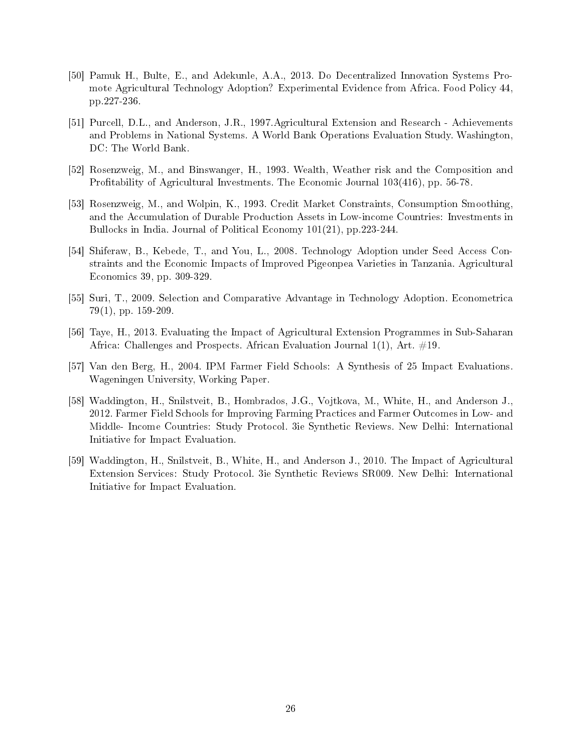- [50] Pamuk H., Bulte, E., and Adekunle, A.A., 2013. Do Decentralized Innovation Systems Promote Agricultural Technology Adoption? Experimental Evidence from Africa. Food Policy 44, pp.227-236.
- [51] Purcell, D.L., and Anderson, J.R., 1997.Agricultural Extension and Research Achievements and Problems in National Systems. A World Bank Operations Evaluation Study. Washington, DC: The World Bank.
- [52] Rosenzweig, M., and Binswanger, H., 1993. Wealth, Weather risk and the Composition and Profitability of Agricultural Investments. The Economic Journal  $103(416)$ , pp. 56-78.
- [53] Rosenzweig, M., and Wolpin, K., 1993. Credit Market Constraints, Consumption Smoothing, and the Accumulation of Durable Production Assets in Low-income Countries: Investments in Bullocks in India. Journal of Political Economy 101(21), pp.223-244.
- [54] Shiferaw, B., Kebede, T., and You, L., 2008. Technology Adoption under Seed Access Constraints and the Economic Impacts of Improved Pigeonpea Varieties in Tanzania. Agricultural Economics 39, pp. 309-329.
- [55] Suri, T., 2009. Selection and Comparative Advantage in Technology Adoption. Econometrica 79(1), pp. 159-209.
- [56] Taye, H., 2013. Evaluating the Impact of Agricultural Extension Programmes in Sub-Saharan Africa: Challenges and Prospects. African Evaluation Journal  $1(1)$ , Art.  $\#19$ .
- [57] Van den Berg, H., 2004. IPM Farmer Field Schools: A Synthesis of 25 Impact Evaluations. Wageningen University, Working Paper.
- [58] Waddington, H., Snilstveit, B., Hombrados, J.G., Vojtkova, M., White, H., and Anderson J., 2012. Farmer Field Schools for Improving Farming Practices and Farmer Outcomes in Low- and Middle- Income Countries: Study Protocol. 3ie Synthetic Reviews. New Delhi: International Initiative for Impact Evaluation.
- [59] Waddington, H., Snilstveit, B., White, H., and Anderson J., 2010. The Impact of Agricultural Extension Services: Study Protocol. 3ie Synthetic Reviews SR009. New Delhi: International Initiative for Impact Evaluation.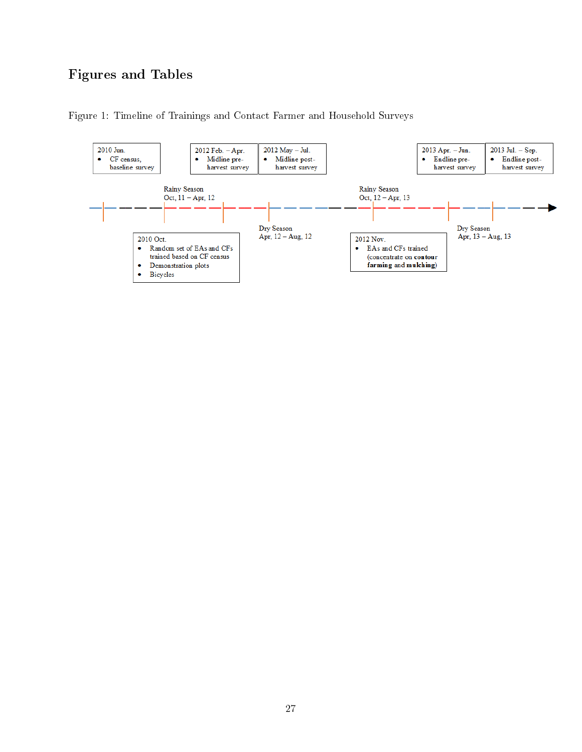## Figures and Tables

Figure 1: Timeline of Trainings and Contact Farmer and Household Surveys

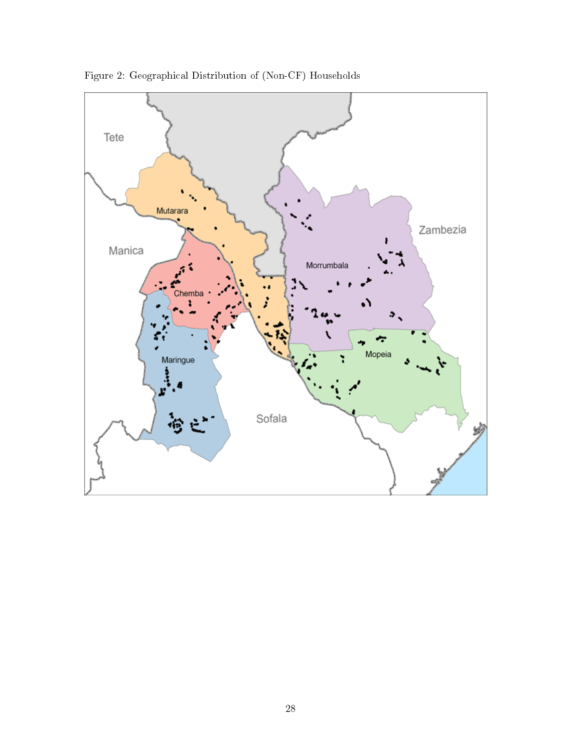

Figure 2: Geographical Distribution of (Non-CF) Households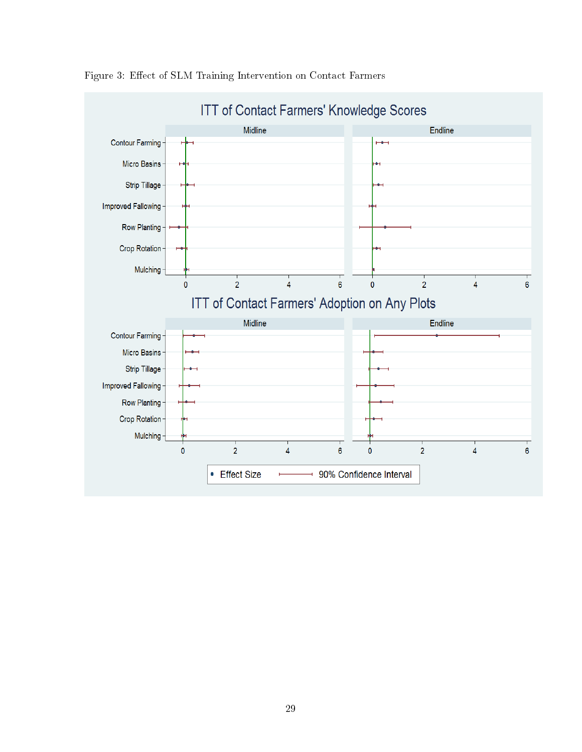

Figure 3: Effect of SLM Training Intervention on Contact Farmers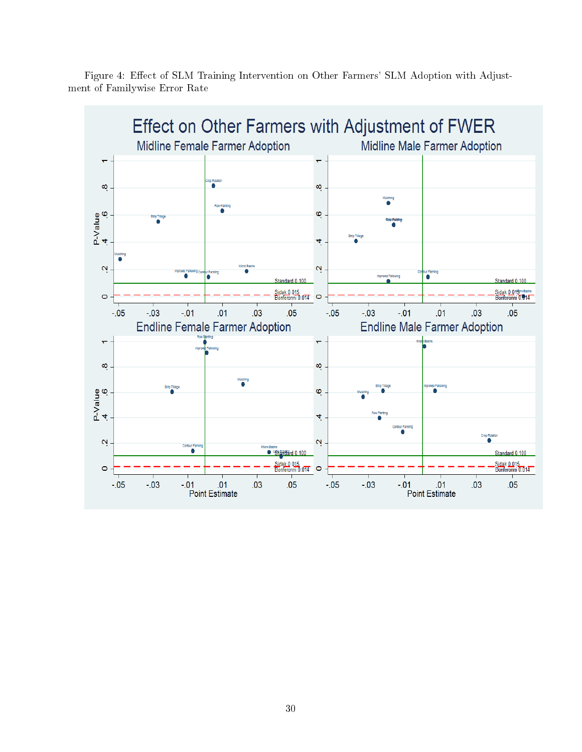

Figure 4: Effect of SLM Training Intervention on Other Farmers' SLM Adoption with Adjustment of Familywise Error Rate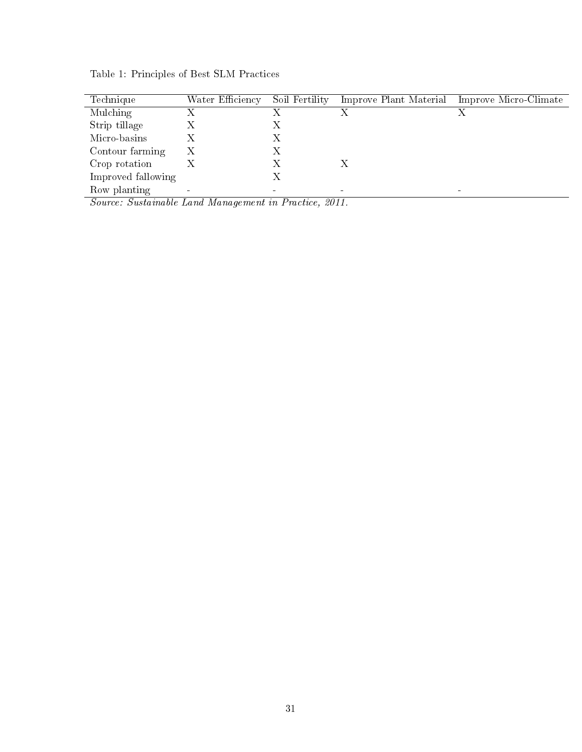| Technique          | Water Efficiency | Soil Fertility | Improve Plant Material Improve Micro-Climate |
|--------------------|------------------|----------------|----------------------------------------------|
| <b>Mulching</b>    |                  |                |                                              |
| Strip tillage      |                  |                |                                              |
| Micro-basins       |                  |                |                                              |
| Contour farming    | Х                | Х              |                                              |
| Crop rotation      |                  |                |                                              |
| Improved fallowing |                  |                |                                              |
| Row planting       |                  |                |                                              |

Table 1: Principles of Best SLM Practices

Source: Sustainable Land Management in Practice, 2011.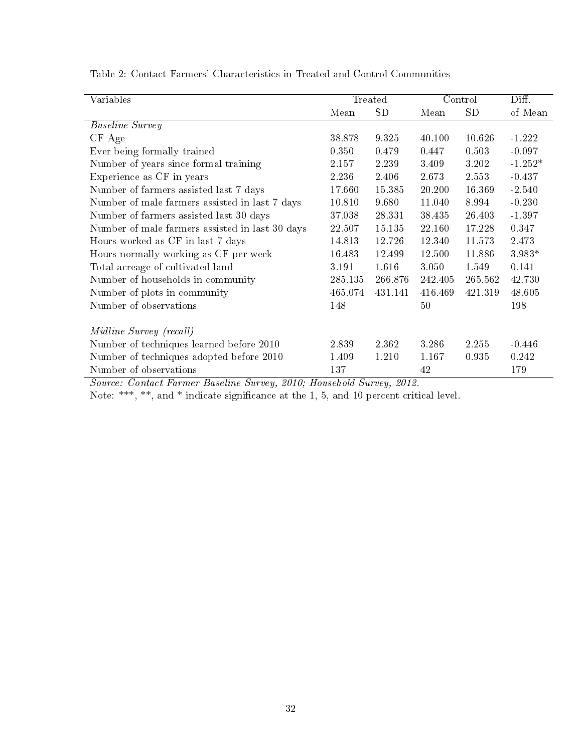| Variables                                       |         | Treated |         | Control   | Diff.     |
|-------------------------------------------------|---------|---------|---------|-----------|-----------|
|                                                 | Mean    | SD      | Mean    | <b>SD</b> | of Mean   |
| <i>Baseline Survey</i>                          |         |         |         |           |           |
| $CF$ Age                                        | 38.878  | 9.325   | 40.100  | 10.626    | $-1.222$  |
| Ever being formally trained                     | 0.350   | 0.479   | 0.447   | 0.503     | $-0.097$  |
| Number of years since formal training           | 2.157   | 2.239   | 3.409   | 3.202     | $-1.252*$ |
| Experience as CF in years                       | 2.236   | 2.406   | 2.673   | 2.553     | $-0.437$  |
| Number of farmers assisted last 7 days          | 17.660  | 15.385  | 20.200  | 16.369    | $-2.540$  |
| Number of male farmers assisted in last 7 days  | 10.810  | 9.680   | 11.040  | 8.994     | $-0.230$  |
| Number of farmers assisted last 30 days         | 37.038  | 28.331  | 38 435  | 26.403    | $-1.397$  |
| Number of male farmers assisted in last 30 days | 22.507  | 15 135  | 22.160  | 17.228    | 0.347     |
| Hours worked as CF in last 7 days               | 14.813  | 12.726  | 12 340  | 11573     | 2.473     |
| Hours normally working as CF per week           | 16.483  | 12.499  | 12.500  | 11.886    | 3.983*    |
| Total acreage of cultivated land                | 3.191   | 1.616   | 3.050   | 1.549     | 0.141     |
| Number of households in community               | 285.135 | 266.876 | 242.405 | 265.562   | 42.730    |
| Number of plots in community                    | 465.074 | 431.141 | 416.469 | 421.319   | 48.605    |
| Number of observations                          | 148     |         | 50      |           | 198       |
|                                                 |         |         |         |           |           |
| Midline Survey (recall)                         |         |         |         |           |           |
| Number of techniques learned before 2010        | 2.839   | 2.362   | 3.286   | 2.255     | $-0.446$  |
| Number of techniques adopted before 2010        | 1.409   | 1.210   | 1.167   | 0.935     | 0.242     |
| Number of observations                          | 137     |         | 42      |           | 179       |

Table 2: Contact Farmers' Characteristics in Treated and Control Communities

Source: Contact Farmer Baseline Survey, 2010; Household Survey, 2012.

Note: \*\*\*, \*\*, and \* indicate significance at the 1, 5, and 10 percent critical level.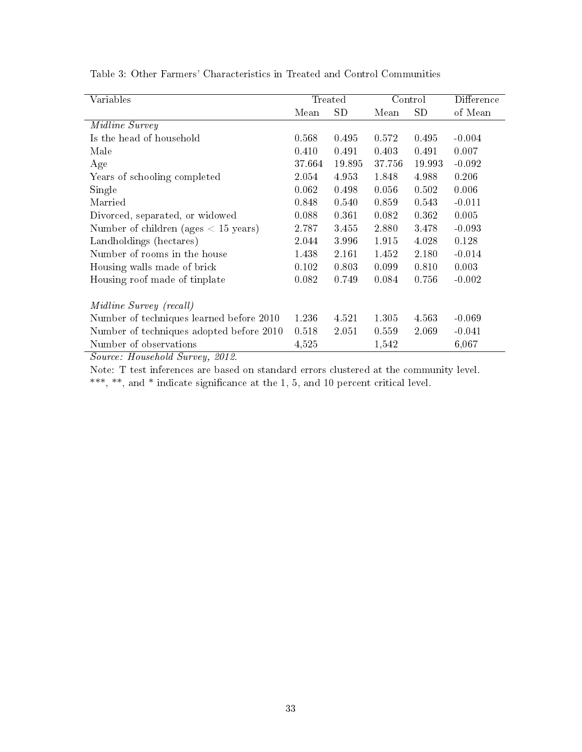| Variables                                |        | Treated |        | Control   | Difference |
|------------------------------------------|--------|---------|--------|-----------|------------|
|                                          |        |         |        |           |            |
|                                          | Mean   | SD      | Mean   | <b>SD</b> | of Mean    |
| Midline Survey                           |        |         |        |           |            |
| Is the head of household                 | 0.568  | 0.495   | 0.572  | 0.495     | $-0.004$   |
| Male                                     | 0.410  | 0.491   | 0.403  | 0.491     | 0.007      |
| Age                                      | 37.664 | 19.895  | 37.756 | 19.993    | $-0.092$   |
| Years of schooling completed             | 2.054  | 4.953   | 1.848  | 4.988     | 0.206      |
| Single                                   | 0.062  | 0.498   | 0.056  | 0.502     | 0.006      |
| Married                                  | 0.848  | 0.540   | 0.859  | 0.543     | $-0.011$   |
| Divorced, separated, or widowed          | 0.088  | 0.361   | 0.082  | 0.362     | 0.005      |
| Number of children (ages $< 15$ years)   | 2.787  | 3.455   | 2.880  | 3.478     | $-0.093$   |
| Landholdings (hectares)                  | 2.044  | 3.996   | 1.915  | 4.028     | 0.128      |
| Number of rooms in the house             | 1.438  | 2.161   | 1.452  | 2.180     | $-0.014$   |
| Housing walls made of brick              | 0.102  | 0.803   | 0.099  | 0.810     | 0.003      |
| Housing roof made of tinplate            | 0.082  | 0.749   | 0.084  | 0.756     | $-0.002$   |
| Midline Survey (recall)                  |        |         |        |           |            |
| Number of techniques learned before 2010 | 1.236  | 4.521   | 1.305  | 4.563     | $-0.069$   |
| Number of techniques adopted before 2010 | 0.518  | 2.051   | 0.559  | 2.069     | $-0.041$   |
| Number of observations                   | 4,525  |         | 1,542  |           | 6,067      |

Table 3: Other Farmers' Characteristics in Treated and Control Communities

Source: Household Survey, 2012.

Note: T test inferences are based on standard errors clustered at the community level. \*\*\*, \*\*, and \* indicate signicance at the 1, 5, and 10 percent critical level.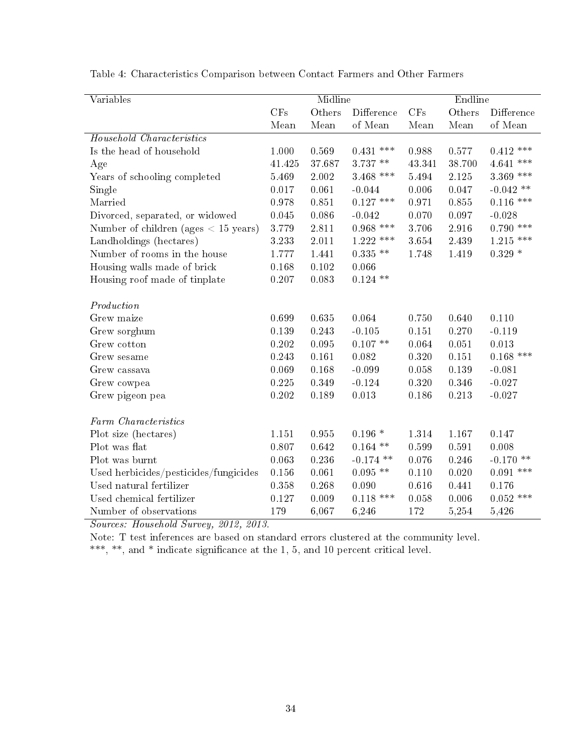| Variables                              |        | Midline   |                       |        | Endline   |             |
|----------------------------------------|--------|-----------|-----------------------|--------|-----------|-------------|
|                                        | CFs    | Others    | Difference            | CFs    | Others    | Difference  |
|                                        | Mean   | Mean      | of Mean               | Mean   | Mean      | of Mean     |
| <b>Household Characteristics</b>       |        |           |                       |        |           |             |
| Is the head of household               | 1.000  | 0.569     | $0.431$ ***           | 0.988  | 0.577     | $0.412$ *** |
| Age                                    | 41.425 | 37.687    | $3.737$ $^{\ast\ast}$ | 43.341 | 38.700    | $4.641$ *** |
| Years of schooling completed           | 5.469  | 2.002     | 3.468 ***             | 5.494  | 2.125     | $3.369$ *** |
| Single                                 | 0.017  | 0.061     | $-0.044$              | 0.006  | 0.047     | $-0.042$ ** |
| Married                                | 0.978  | 0.851     | $0.127$ ***           | 0.971  | 0.855     | $0.116$ *** |
| Divorced, separated, or widowed        | 0.045  | 0.086     | $-0.042$              | 0.070  | 0.097     | $-0.028$    |
| Number of children (ages $< 15$ years) | 3.779  | $2.811\,$ | $0.968$ ***           | 3.706  | $2.916\,$ | $0.790$ *** |
| Landholdings (hectares)                | 3.233  | 2.011     | $1.222$ ***           | 3.654  | 2.439     | $1.215$ *** |
| Number of rooms in the house           | 1.777  | 1.441     | $0.335**$             | 1.748  | 1.419     | $0.329*$    |
| Housing walls made of brick            | 0.168  | 0.102     | 0.066                 |        |           |             |
| Housing roof made of tinplate          | 0.207  | 0.083     | $0.124$ **            |        |           |             |
|                                        |        |           |                       |        |           |             |
| Production                             |        |           |                       |        |           |             |
| Grew maize                             | 0.699  | 0.635     | 0.064                 | 0.750  | 0.640     | 0.110       |
| Grew sorghum                           | 0.139  | 0.243     | $-0.105$              | 0.151  | 0.270     | $-0.119$    |
| Grew cotton                            | 0.202  | 0.095     | $0.107**$             | 0.064  | 0.051     | 0.013       |
| Grew sesame                            | 0.243  | 0.161     | 0.082                 | 0.320  | 0.151     | $0.168$ *** |
| Grew cassava                           | 0.069  | 0.168     | $-0.099$              | 0.058  | 0.139     | $-0.081$    |
| Grew cowpea                            | 0.225  | 0.349     | $-0.124$              | 0.320  | 0.346     | $-0.027$    |
| Grew pigeon pea                        | 0.202  | 0.189     | 0.013                 | 0.186  | 0.213     | $-0.027$    |
|                                        |        |           |                       |        |           |             |
| Farm Characteristics                   |        |           |                       |        |           |             |
| Plot size (hectares)                   | 1.151  | 0.955     | $0.196*$              | 1.314  | 1.167     | 0.147       |
| Plot was flat                          | 0.807  | 0.642     | $0.164$ **            | 0.599  | 0.591     | 0.008       |
| Plot was burnt                         | 0.063  | 0.236     | $-0.174$ **           | 0.076  | 0.246     | $-0.170$ ** |
| Used herbicides/pesticides/fungicides  | 0.156  | 0.061     | $0.095$ **            | 0.110  | 0.020     | $0.091$ *** |
| Used natural fertilizer                | 0.358  | 0.268     | 0.090                 | 0.616  | 0.441     | 0.176       |
| Used chemical fertilizer               | 0.127  | 0.009     | $0.118$ ***           | 0.058  | 0.006     | $0.052$ *** |
| Number of observations                 | 179    | 6,067     | 6,246                 | 172    | 5,254     | 5,426       |

Table 4: Characteristics Comparison between Contact Farmers and Other Farmers

Sources: Household Survey, 2012, 2013.

Note: T test inferences are based on standard errors clustered at the community level.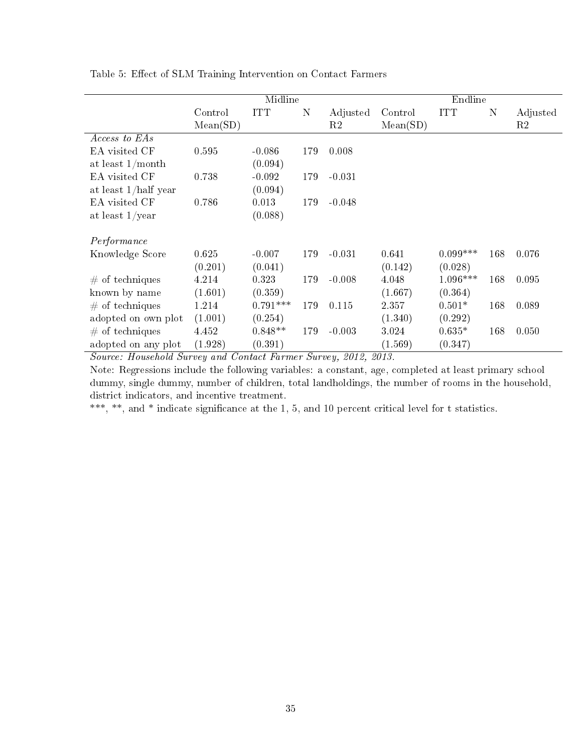| Control  | <b>ITT</b>       | $\mathbf N$         | Adjusted       | Control                   | <b>ITT</b>                | N                     | Adjusted       |
|----------|------------------|---------------------|----------------|---------------------------|---------------------------|-----------------------|----------------|
| Mean(SD) |                  |                     | R2             | Mean(SD)                  |                           |                       | R2             |
|          |                  |                     |                |                           |                           |                       |                |
| 0.595    | $-0.086$         | 179                 | 0.008          |                           |                           |                       |                |
|          | (0.094)          |                     |                |                           |                           |                       |                |
| 0.738    | $-0.092$         | 179                 | $-0.031$       |                           |                           |                       |                |
|          | (0.094)          |                     |                |                           |                           |                       |                |
| 0.786    | 0.013            | 179                 | $-0.048$       |                           |                           |                       |                |
|          | (0.088)          |                     |                |                           |                           |                       |                |
|          |                  |                     |                |                           |                           |                       |                |
|          |                  |                     |                |                           |                           |                       | 0.076          |
|          |                  |                     |                |                           |                           |                       |                |
| 4.214    | 0.323            | 179                 | $-0.008$       | 4.048                     | $1.096***$                | 168                   | 0.095          |
| (1.601)  | (0.359)          |                     |                | (1.667)                   | (0.364)                   |                       |                |
| 1.214    | $0.791***$       | 179                 | 0.115          | 2.357                     | $0.501*$                  | 168                   | 0.089          |
| (1.001)  | (0.254)          |                     |                | (1.340)                   | (0.292)                   |                       |                |
| 4.452    | $0.848**$        | 179                 | $-0.003$       | 3.024                     | $0.635*$                  | 168                   | 0.050          |
| (1.928)  | (0.391)          |                     |                | (1.569)                   | (0.347)                   |                       |                |
|          | 0.625<br>(0.201) | $-0.007$<br>(0.041) | Midline<br>179 | $-0.031$<br><u>രവ + ര</u> | 0.641<br>(0.142)<br>ഹ + ച | $0.099***$<br>(0.028) | Endline<br>168 |

Table 5: Effect of SLM Training Intervention on Contact Farmers

 $\overline{a}$ 

Source: Household Survey and Contact Farmer Survey, 2012, 2013.

Note: Regressions include the following variables: a constant, age, completed at least primary school dummy, single dummy, number of children, total landholdings, the number of rooms in the household, district indicators, and incentive treatment.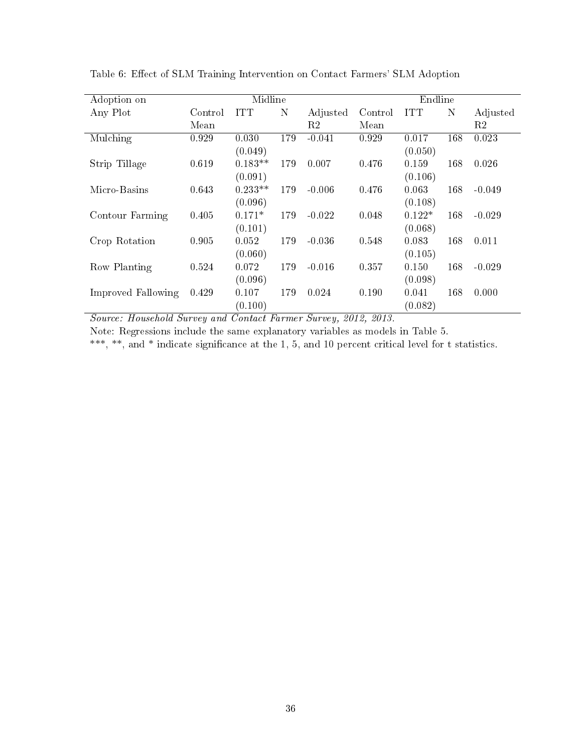| Adoption on        |         | Midline    |     |          |         | Endline    |     |                |
|--------------------|---------|------------|-----|----------|---------|------------|-----|----------------|
| Any Plot           | Control | <b>ITT</b> | N   | Adjusted | Control | <b>ITT</b> | N   | Adjusted       |
|                    | Mean    |            |     | R2       | Mean    |            |     | R <sub>2</sub> |
| Mulching           | 0.929   | 0.030      | 179 | $-0.041$ | 0.929   | 0.017      | 168 | 0.023          |
|                    |         | (0.049)    |     |          |         | (0.050)    |     |                |
| Strip Tillage      | 0.619   | $0.183**$  | 179 | 0.007    | 0.476   | 0.159      | 168 | 0.026          |
|                    |         | (0.091)    |     |          |         | (0.106)    |     |                |
| Micro-Basins       | 0.643   | $0.233**$  | 179 | $-0.006$ | 0.476   | 0.063      | 168 | $-0.049$       |
|                    |         | (0.096)    |     |          |         | (0.108)    |     |                |
| Contour Farming    | 0.405   | $0.171*$   | 179 | $-0.022$ | 0.048   | $0.122*$   | 168 | $-0.029$       |
|                    |         | (0.101)    |     |          |         | (0.068)    |     |                |
| Crop Rotation      | 0.905   | 0.052      | 179 | $-0.036$ | 0.548   | 0.083      | 168 | 0.011          |
|                    |         | (0.060)    |     |          |         | (0.105)    |     |                |
| Row Planting       | 0.524   | 0.072      | 179 | $-0.016$ | 0.357   | 0.150      | 168 | $-0.029$       |
|                    |         | (0.096)    |     |          |         | (0.098)    |     |                |
| Improved Fallowing | 0.429   | 0.107      | 179 | 0.024    | 0.190   | 0.041      | 168 | 0.000          |
|                    |         | (0.100)    |     |          |         | (0.082)    |     |                |

Table 6: Effect of SLM Training Intervention on Contact Farmers' SLM Adoption

Source: Household Survey and Contact Farmer Survey, 2012, 2013.

Note: Regressions include the same explanatory variables as models in Table 5.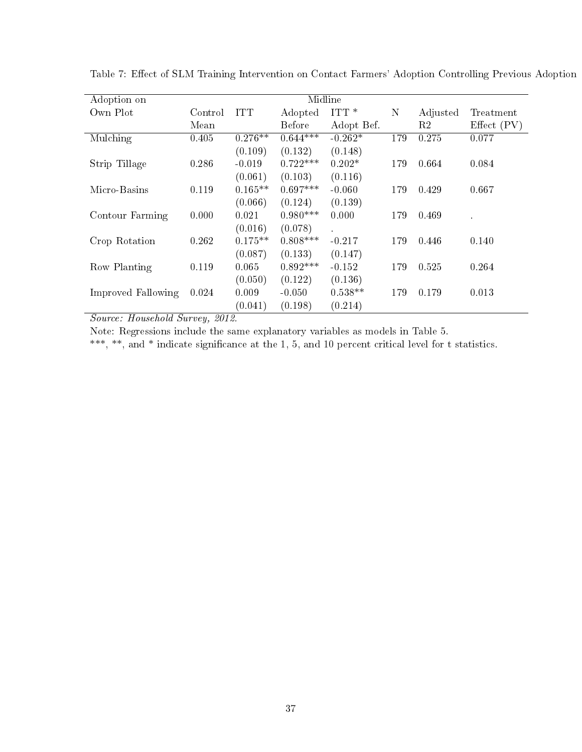| Adoption on        |         |            |            | Midline    |     |          |               |
|--------------------|---------|------------|------------|------------|-----|----------|---------------|
| Own Plot           | Control | <b>ITT</b> | Adopted    | $ITT*$     | N   | Adjusted | Treatment     |
|                    | Mean    |            | Before     | Adopt Bef. |     | R2       | Effect $(PV)$ |
| Mulching           | 0.405   | $0.276**$  | $0.644***$ | $-0.262*$  | 179 | 0.275    | 0.077         |
|                    |         | (0.109)    | (0.132)    | (0.148)    |     |          |               |
| Strip Tillage      | 0.286   | $-0.019$   | $0.722***$ | $0.202*$   | 179 | 0.664    | 0.084         |
|                    |         | (0.061)    | (0.103)    | (0.116)    |     |          |               |
| Micro-Basins       | 0.119   | $0.165**$  | $0.697***$ | $-0.060$   | 179 | 0.429    | 0.667         |
|                    |         | (0.066)    | (0.124)    | (0.139)    |     |          |               |
| Contour Farming    | 0.000   | 0.021      | $0.980***$ | 0.000      | 179 | 0.469    |               |
|                    |         | (0.016)    | (0.078)    | $\sim$     |     |          |               |
| Crop Rotation      | 0.262   | $0.175**$  | $0.808***$ | $-0.217$   | 179 | 0.446    | 0.140         |
|                    |         | (0.087)    | (0.133)    | (0.147)    |     |          |               |
| Row Planting       | 0.119   | 0.065      | $0.892***$ | $-0.152$   | 179 | 0.525    | 0.264         |
|                    |         | (0.050)    | (0.122)    | (0.136)    |     |          |               |
| Improved Fallowing | 0.024   | 0.009      | $-0.050$   | $0.538**$  | 179 | 0.179    | 0.013         |
|                    |         | (0.041)    | (0.198)    | (0.214)    |     |          |               |

Table 7: Effect of SLM Training Intervention on Contact Farmers' Adoption Controlling Previous Adoption

Note: Regressions include the same explanatory variables as models in Table 5.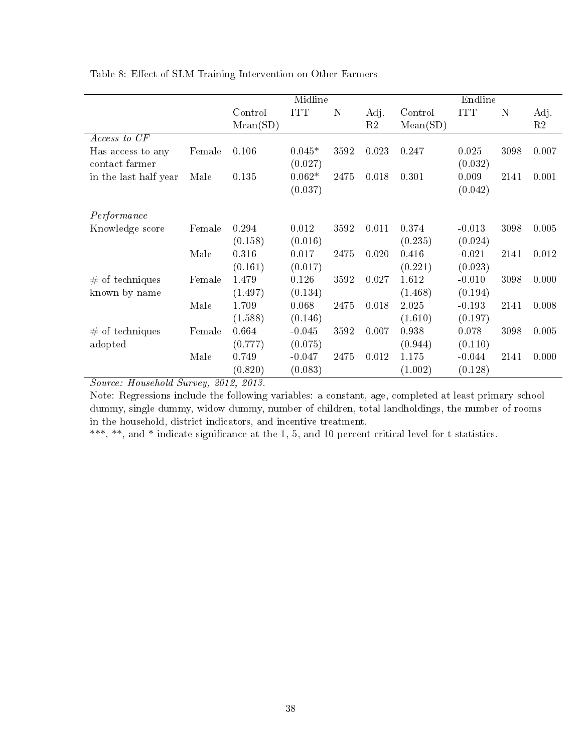| Table 8: Effect of SLM Training Intervention on Other Farmers |  |
|---------------------------------------------------------------|--|
|---------------------------------------------------------------|--|

|                                     |        |                     | Midline             |      |            |                     | Endline          |      |            |
|-------------------------------------|--------|---------------------|---------------------|------|------------|---------------------|------------------|------|------------|
|                                     |        | Control<br>Mean(SD) | <b>ITT</b>          | N    | Adj.<br>R2 | Control<br>Mean(SD) | <b>ITT</b>       | N    | Adj.<br>R2 |
| Access to CF                        |        |                     |                     |      |            |                     |                  |      |            |
| Has access to any<br>contact farmer | Female | 0.106               | $0.045*$<br>(0.027) | 3592 | 0.023      | 0.247               | 0.025<br>(0.032) | 3098 | 0.007      |
| in the last half year               | Male   | 0.135               | $0.062*$<br>(0.037) | 2475 | 0.018      | 0.301               | 0.009<br>(0.042) | 2141 | 0.001      |
| Performance                         |        |                     |                     |      |            |                     |                  |      |            |
| Knowledge score                     | Female | 0.294               | 0.012               | 3592 | 0.011      | 0.374               | $-0.013$         | 3098 | 0.005      |
|                                     |        | (0.158)             | (0.016)             |      |            | (0.235)             | (0.024)          |      |            |
|                                     | Male   | 0.316               | 0.017               | 2475 | 0.020      | 0.416               | $-0.021$         | 2141 | 0.012      |
|                                     |        | (0.161)             | (0.017)             |      |            | (0.221)             | (0.023)          |      |            |
| $#$ of techniques                   | Female | 1.479               | 0.126               | 3592 | 0.027      | 1.612               | $-0.010$         | 3098 | 0.000      |
| known by name                       |        | (1.497)             | (0.134)             |      |            | (1.468)             | (0.194)          |      |            |
|                                     | Male   | 1.709               | 0.068               | 2475 | 0.018      | 2.025               | $-0.193$         | 2141 | 0.008      |
|                                     |        | (1.588)             | (0.146)             |      |            | (1.610)             | (0.197)          |      |            |
| $#$ of techniques                   | Female | 0.664               | $-0.045$            | 3592 | 0.007      | 0.938               | 0.078            | 3098 | 0.005      |
| adopted                             |        | (0.777)             | (0.075)             |      |            | (0.944)             | (0.110)          |      |            |
|                                     | Male   | 0.749               | $-0.047$            | 2475 | 0.012      | 1.175               | $-0.044$         | 2141 | 0.000      |
|                                     |        | (0.820)             | (0.083)             |      |            | (1.002)             | (0.128)          |      |            |

Note: Regressions include the following variables: a constant, age, completed at least primary school dummy, single dummy, widow dummy, number of children, total landholdings, the number of rooms in the household, district indicators, and incentive treatment.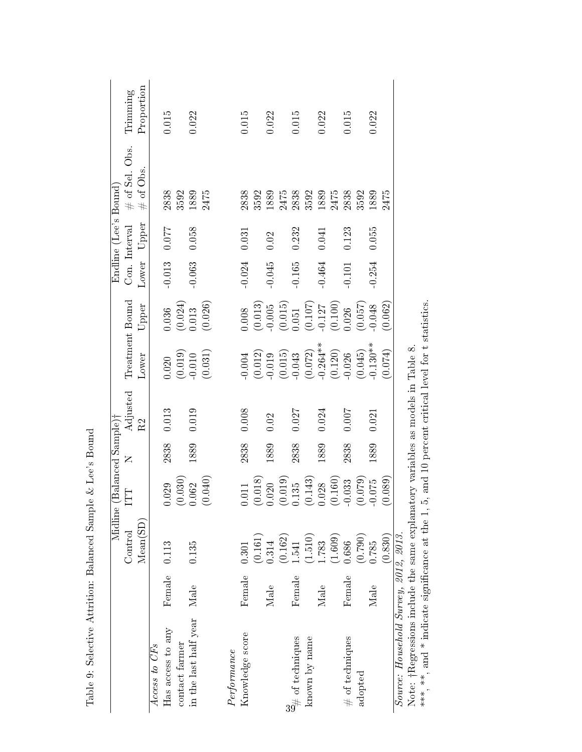|                                                          |              | Midline  | (Balanced Sample)                                       |      |                |                                                                                                                                                          |                                                                                                                                     |               | Endline (Lee's Bound) |                   |            |
|----------------------------------------------------------|--------------|----------|---------------------------------------------------------|------|----------------|----------------------------------------------------------------------------------------------------------------------------------------------------------|-------------------------------------------------------------------------------------------------------------------------------------|---------------|-----------------------|-------------------|------------|
|                                                          |              | Control  | ET                                                      | Z    | Adjusted<br>R2 | Treatment Bound                                                                                                                                          |                                                                                                                                     | Con. Interval |                       | $\#$ of Sel. Obs. | Trimming   |
|                                                          |              | Mean(SD) |                                                         |      |                | Lower                                                                                                                                                    | Upper                                                                                                                               | Lower         | Upper                 | # of Obs          | Proportion |
| Access to CF <sub>s</sub>                                |              |          |                                                         |      |                |                                                                                                                                                          |                                                                                                                                     |               |                       |                   |            |
| Has access to any                                        | Female 0.113 |          | 029                                                     | 2838 | $0.013\,$      |                                                                                                                                                          |                                                                                                                                     | $-0.013$      | 120.0                 | 2838              | 0.015      |
| contact farmer                                           |              |          | (0.030)                                                 |      |                |                                                                                                                                                          |                                                                                                                                     |               |                       | 3592              |            |
| in the last half year                                    | Male         | 0.135    | 0.62                                                    | 1889 | 0.019          | $\begin{array}{c} 0.020 \\ (0.019) \\ 0.010 \end{array}$                                                                                                 | $\begin{array}{c} 0.036 \\ (0.024) \\ 0.013 \end{array}$                                                                            | $-0.063$      | 0.058                 | 1889              | 0.022      |
|                                                          |              |          | (0.040)                                                 |      |                | (0.031)                                                                                                                                                  | (0.026)                                                                                                                             |               |                       | 2475              |            |
| Performance                                              |              |          |                                                         |      |                |                                                                                                                                                          |                                                                                                                                     |               |                       |                   |            |
| Knowledge score                                          | Female       | 0.301    | .011                                                    | 2838 | 0.008          |                                                                                                                                                          |                                                                                                                                     | $-0.024$      | 0.031                 | 2838              | 0.015      |
|                                                          |              | (0.161)  | (0.018)                                                 |      |                | $-0.012$<br>$-0.019$<br>$-0.015$<br>$-0.015$<br>$-0.072$<br>$-0.072$<br>$-0.073$<br>$-0.045$<br>$-0.045$<br>$-0.045$<br>$-0.045$<br>$-0.045$<br>$-0.045$ | $\begin{array}{c} (0.008 \\ (0.013) \\ -0.005 \\ (0.015) \\ (0.051 \\ (0.107) \\ -0.127 \\ (0.100) \\ (0.100) \\ 0.026 \end{array}$ |               |                       | 3592              |            |
|                                                          | Male         | 0.314    | $\begin{array}{c} (0.020 \ (0.019) \ 0.135 \end{array}$ | 1889 | 0.02           |                                                                                                                                                          |                                                                                                                                     | $-0.045$      | 0.02                  | 1889              | 0.022      |
|                                                          |              | (0.162)  |                                                         |      |                |                                                                                                                                                          |                                                                                                                                     |               |                       | 2475              |            |
| $\overset{\mathbf{u}}{\twoheadrightarrow}$ of techniques | Female       | 1.541    |                                                         | 2838 | 0.027          |                                                                                                                                                          |                                                                                                                                     | $-0.165$      | 0.232                 | 2838              | 0.015      |
| known by name                                            |              | (1.510)  | (0.143)                                                 |      |                |                                                                                                                                                          |                                                                                                                                     |               |                       | 3592              |            |
|                                                          | Male         | 1.783    | 0.028                                                   | 1889 | 0.024          |                                                                                                                                                          |                                                                                                                                     | $-0.464$      | 0.041                 | 1889              | 0.022      |
|                                                          |              | (1.609)  | (0.160)                                                 |      |                |                                                                                                                                                          |                                                                                                                                     |               |                       | 2475              |            |
| $#$ of techniques                                        | Female       | 0.686    | 0.033                                                   | 2838 | 0.007          |                                                                                                                                                          |                                                                                                                                     | $-0.101$      | 0.123                 | 2838              | 0.015      |
| adopted                                                  |              | (0.790)  | (0.079)                                                 |      |                |                                                                                                                                                          | $(0.057)$<br>0.048                                                                                                                  |               |                       | 3592              |            |
|                                                          | Male         | 0.785    | 0.075                                                   | 1889 | 0.021          |                                                                                                                                                          |                                                                                                                                     | $-0.254$      | 0.055                 | 1889              | 0.022      |
|                                                          |              | (0.830)  | (0.089)                                                 |      |                | (0.074)                                                                                                                                                  | (0.062)                                                                                                                             |               |                       | 2475              |            |
| Source: Household Survey, 2012, 2013.                    |              |          |                                                         |      |                |                                                                                                                                                          |                                                                                                                                     |               |                       |                   |            |

Table 9: Selective Attrition: Balanced Sample & Lee's Bound Table 9: Selective Attrition: Balanced Sample & Lee's Bound Note: †Regressions include the same explanatory variables as models in Table 8.

Note: †Regressions include the same explanatory variables as models in Table 8.<br>\*\*\*, \*\*, and \* indicate significance at the 1, 5, and 10 percent critical level for t statistics. \*\*\*, and \* indicate significance at the 1, 5, and 10 percent critical level for t statistics.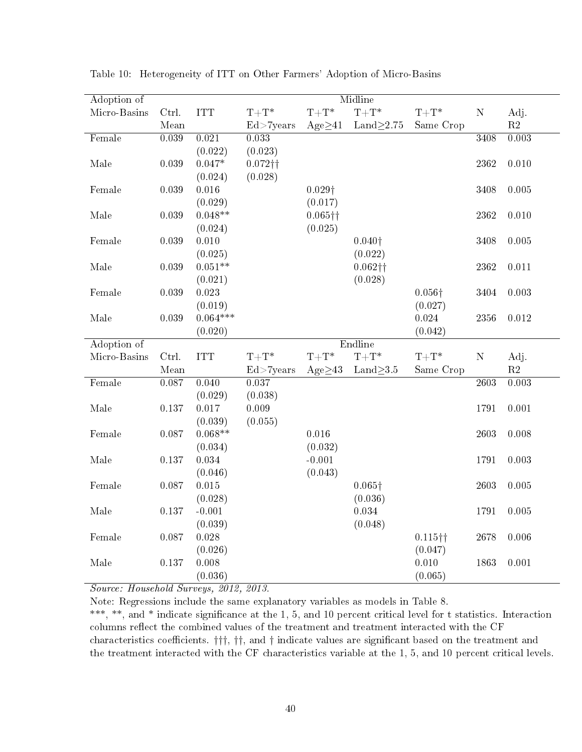| ${\bf N}$ | Adj.                                                         |
|-----------|--------------------------------------------------------------|
|           | $\mathbf{R}2$                                                |
| 3408      | 0.003                                                        |
|           |                                                              |
| 2362      | 0.010                                                        |
|           |                                                              |
| 3408      | 0.005                                                        |
|           |                                                              |
| 2362      | 0.010                                                        |
|           |                                                              |
| 3408      | 0.005                                                        |
|           |                                                              |
| 2362      | 0.011                                                        |
|           |                                                              |
|           | 0.003                                                        |
|           |                                                              |
|           | 0.012                                                        |
|           |                                                              |
|           |                                                              |
|           | Adj.<br>$\mathbf{R}2$                                        |
|           | 0.003                                                        |
|           |                                                              |
|           | 0.001                                                        |
|           |                                                              |
|           | 0.008                                                        |
|           |                                                              |
|           | 0.003                                                        |
|           |                                                              |
|           | $0.005\,$                                                    |
|           |                                                              |
|           | $0.005\,$                                                    |
|           |                                                              |
| 2678      | 0.006                                                        |
|           |                                                              |
| 1863      | 0.001                                                        |
|           |                                                              |
| ${\bf N}$ | 3404<br>2356<br>2603<br>1791<br>2603<br>1791<br>2603<br>1791 |

Table 10: Heterogeneity of ITT on Other Farmers' Adoption of Micro-Basins

Note: Regressions include the same explanatory variables as models in Table 8. \*\*\*, \*\*, and \* indicate significance at the 1, 5, and 10 percent critical level for t statistics. Interaction columns reflect the combined values of the treatment and treatment interacted with the CF characteristics coefficients.  $\dagger \dagger \dagger$ ,  $\dagger \dagger$ , and  $\dagger$  indicate values are significant based on the treatment and the treatment interacted with the CF characteristics variable at the 1, 5, and 10 percent critical levels.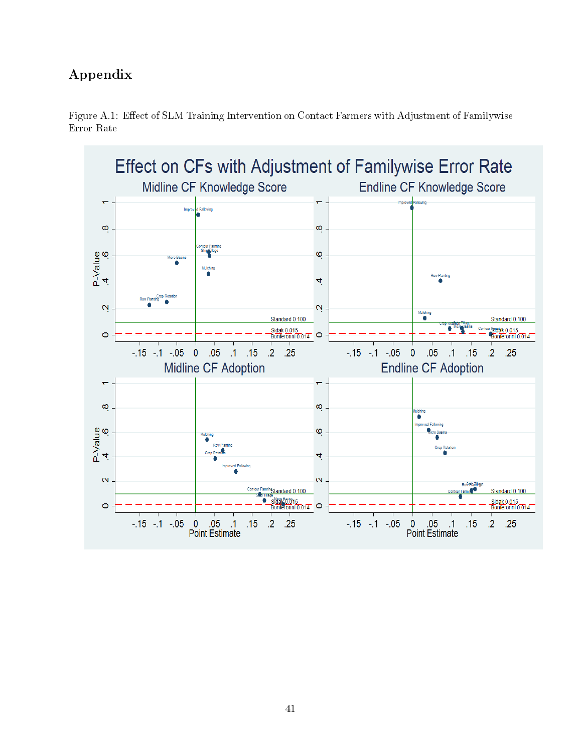## Appendix



Figure A.1: Effect of SLM Training Intervention on Contact Farmers with Adjustment of Familywise Error Rate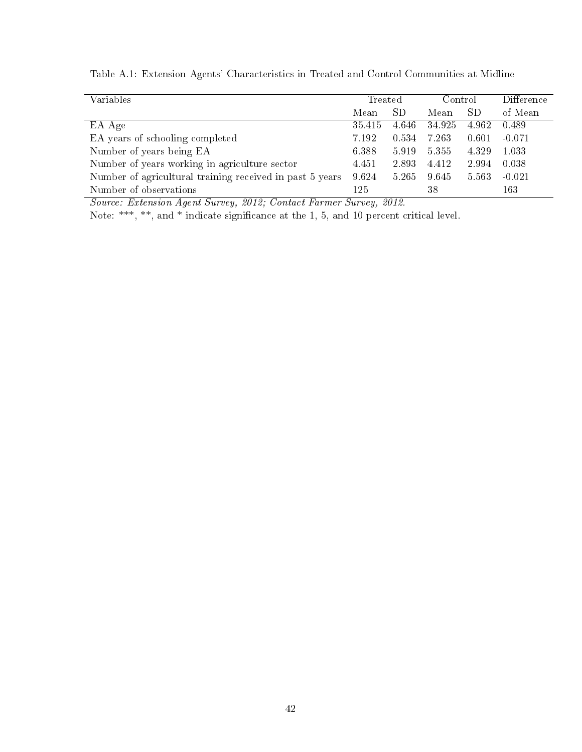| Variables                                                | Treated |           | Control |       | <b>Difference</b> |
|----------------------------------------------------------|---------|-----------|---------|-------|-------------------|
|                                                          | Mean    | <b>SD</b> | Mean    | SD    | of Mean           |
| EA Age                                                   | 35.415  | 4.646     | 34.925  | 4.962 | 0.489             |
| EA years of schooling completed                          | 7.192   | 0.534     | 7.263   | 0.601 | $-0.071$          |
| Number of years being EA                                 | 6.388   | 5.919     | 5.355   | 4.329 | 1.033             |
| Number of years working in agriculture sector            | 4.451   | 2.893     | 4.412   | 2.994 | 0.038             |
| Number of agricultural training received in past 5 years | 9.624   | 5.265     | 9.645   | 5.563 | $-0.021$          |
| Number of observations                                   | 125     |           | 38      |       | 163               |

Table A.1: Extension Agents' Characteristics in Treated and Control Communities at Midline

Source: Extension Agent Survey, 2012; Contact Farmer Survey, 2012.

Note: \*\*\*, \*\*, and \* indicate significance at the 1, 5, and 10 percent critical level.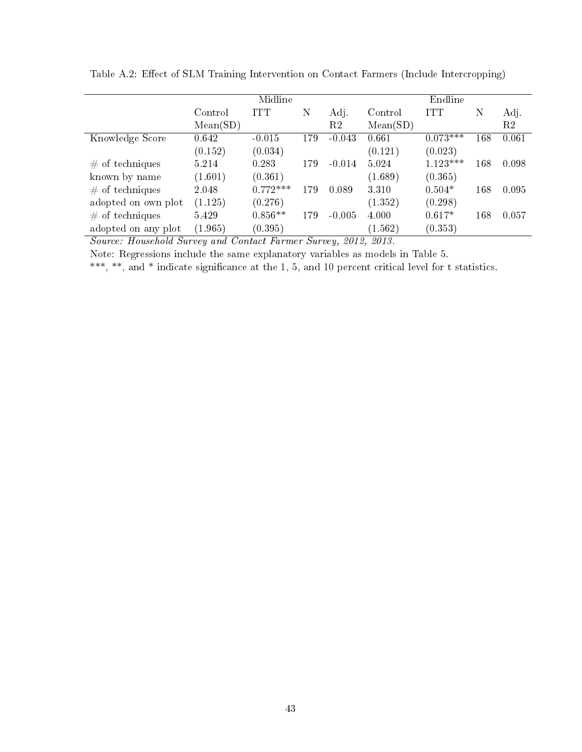|                                          | Midline  |            |        |                      | Endline                         |            |     |       |
|------------------------------------------|----------|------------|--------|----------------------|---------------------------------|------------|-----|-------|
|                                          | Control  | ITT        | Ν      | Adj.                 | Control                         | <b>ITT</b> | Ν   | Adj.  |
|                                          | Mean(SD) |            |        | R2                   | Mean(SD)                        |            |     | R2    |
| Knowledge Score                          | 0.642    | $-0.015$   | 179    | $-0.043$             | 0.661                           | $0.073***$ | 168 | 0.061 |
|                                          | (0.152)  | (0.034)    |        |                      | (0.121)                         | (0.023)    |     |       |
| $#$ of techniques                        | 5.214    | 0.283      | 179    | $-0.014$             | 5.024                           | $1.123***$ | 168 | 0.098 |
| known by name                            | (1.601)  | (0.361)    |        |                      | (1.689)                         | (0.365)    |     |       |
| $#$ of techniques                        | 2.048    | $0.772***$ | 179    | 0.089                | 3.310                           | $0.504*$   | 168 | 0.095 |
| adopted on own plot                      | (1.125)  | (0.276)    |        |                      | (1.352)                         | (0.298)    |     |       |
| $#$ of techniques                        | 5.429    | $0.856**$  | 179    | $-0.005$             | 4.000                           | $0.617*$   | 168 | 0.057 |
| adopted on any plot<br>.<br>$\mathbf{r}$ | (1.965)  | (0.395)    | $\sim$ | $\sim$ $\sim$ $\sim$ | (1.562)<br>$\sim$ $\sim$ $\sim$ | (0.353)    |     |       |

Table A.2: Effect of SLM Training Intervention on Contact Farmers (Include Intercropping)

Source: Household Survey and Contact Farmer Survey, 2012, 2013.

Note: Regressions include the same explanatory variables as models in Table 5.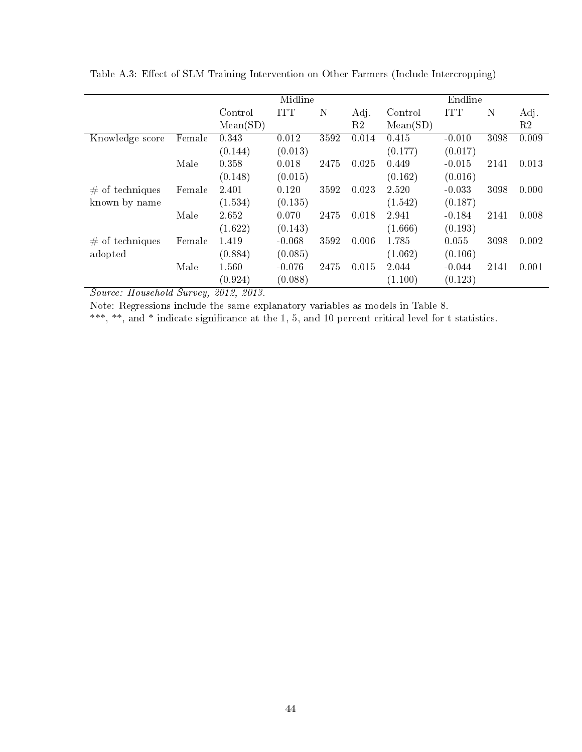|                    |        |          | Midline    |      |       |          | Endline    |      |       |
|--------------------|--------|----------|------------|------|-------|----------|------------|------|-------|
|                    |        | Control  | <b>ITT</b> | N    | Adj.  | Control  | <b>ITT</b> | N    | Adj.  |
|                    |        | Mean(SD) |            |      | R2    | Mean(SD) |            |      | R2    |
| Knowledge score    | Female | 0.343    | 0.012      | 3592 | 0.014 | 0.415    | $-0.010$   | 3098 | 0.009 |
|                    |        | (0.144)  | (0.013)    |      |       | (0.177)  | (0.017)    |      |       |
|                    | Male   | 0.358    | 0.018      | 2475 | 0.025 | 0.449    | $-0.015$   | 2141 | 0.013 |
|                    |        | (0.148)  | (0.015)    |      |       | (0.162)  | (0.016)    |      |       |
| $\#$ of techniques | Female | 2.401    | 0.120      | 3592 | 0.023 | 2.520    | $-0.033$   | 3098 | 0.000 |
| known by name      |        | (1.534)  | (0.135)    |      |       | (1.542)  | (0.187)    |      |       |
|                    | Male   | 2.652    | 0.070      | 2475 | 0.018 | 2.941    | $-0.184$   | 2141 | 0.008 |
|                    |        | (1.622)  | (0.143)    |      |       | (1.666)  | (0.193)    |      |       |
| $\#$ of techniques | Female | 1.419    | $-0.068$   | 3592 | 0.006 | 1.785    | 0.055      | 3098 | 0.002 |
| adopted            |        | (0.884)  | (0.085)    |      |       | (1.062)  | (0.106)    |      |       |
|                    | Male   | 1.560    | $-0.076$   | 2475 | 0.015 | 2.044    | $-0.044$   | 2141 | 0.001 |
|                    |        | (0.924)  | (0.088)    |      |       | (1.100)  | (0.123)    |      |       |

Table A.3: Effect of SLM Training Intervention on Other Farmers (Include Intercropping)

Note: Regressions include the same explanatory variables as models in Table 8.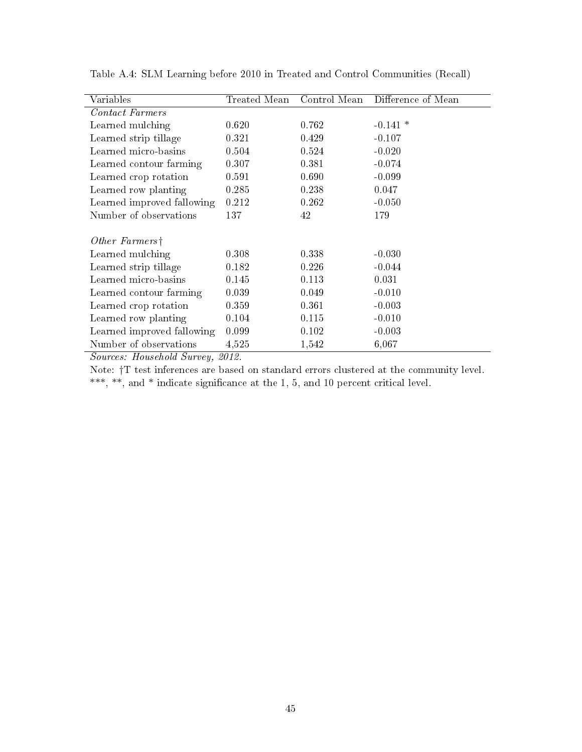| Variables                  | Treated Mean | Control Mean | Difference of Mean |
|----------------------------|--------------|--------------|--------------------|
| Contact Farmers            |              |              |                    |
| Learned mulching           | 0.620        | 0.762        | $-0.141*$          |
| Learned strip tillage      | 0.321        | 0.429        | $-0.107$           |
| Learned micro-basins       | 0.504        | 0.524        | $-0.020$           |
| Learned contour farming    | 0.307        | 0.381        | $-0.074$           |
| Learned crop rotation      | 0.591        | 0.690        | $-0.099$           |
| Learned row planting       | 0.285        | 0.238        | 0.047              |
| Learned improved fallowing | 0.212        | 0.262        | $-0.050$           |
| Number of observations     | 137          | 42           | 179                |
| Other Farmers <sup>†</sup> |              |              |                    |
| Learned mulching           | 0.308        | 0.338        | $-0.030$           |
| Learned strip tillage      | 0.182        | 0.226        | $-0.044$           |
| Learned micro-basins       | 0.145        | 0.113        | 0.031              |
| Learned contour farming    | 0.039        | 0.049        | $-0.010$           |
| Learned crop rotation      | 0.359        | 0.361        | $-0.003$           |
| Learned row planting       | 0.104        | 0.115        | $-0.010$           |
| Learned improved fallowing | 0.099        | 0.102        | $-0.003$           |
| Number of observations     | 4,525        | 1,542        | 6,067              |

Table A.4: SLM Learning before 2010 in Treated and Control Communities (Recall)

Sources: Household Survey, 2012.

Note: †T test inferences are based on standard errors clustered at the community level. \*\*\*, \*\*, and \* indicate signicance at the 1, 5, and 10 percent critical level.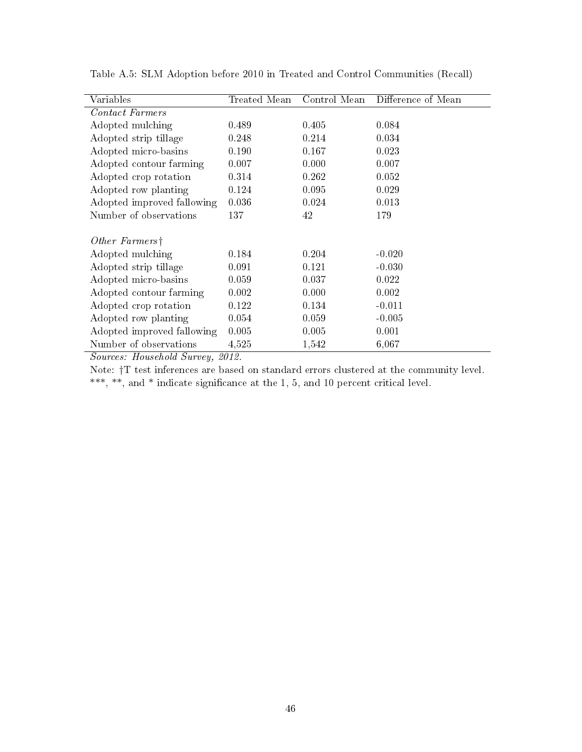| Variables                             | Treated Mean            | Control Mean | Difference of Mean |
|---------------------------------------|-------------------------|--------------|--------------------|
| Contact Farmers                       |                         |              |                    |
| Adopted mulching                      | 0.489                   | 0.405        | 0.084              |
| Adopted strip tillage                 | 0.248                   | 0.214        | 0.034              |
| Adopted micro-basins                  | 0.190                   | 0.167        | 0.023              |
| Adopted contour farming               | 0.007                   | 0.000        | 0.007              |
| Adopted crop rotation                 | 0.314                   | 0.262        | 0.052              |
| Adopted row planting                  | 0.124                   | 0.095        | 0.029              |
| Adopted improved fallowing            | 0.036                   | 0.024        | 0.013              |
| Number of observations                | 137                     | 42           | 179                |
| Other Farmers <sup>†</sup>            |                         |              |                    |
| Adopted mulching                      | 0.184                   | 0.204        | $-0.020$           |
| Adopted strip tillage                 | 0.091                   | 0.121        | $-0.030$           |
| Adopted micro-basins                  | 0.059                   | 0.037        | 0.022              |
| Adopted contour farming               | 0.002                   | 0.000        | 0.002              |
| Adopted crop rotation                 | 0.122                   | 0.134        | $-0.011$           |
| Adopted row planting                  | 0.054                   | 0.059        | $-0.005$           |
| Adopted improved fallowing            | 0.005                   | 0.005        | 0.001              |
| Number of observations<br>TT.<br>1110 | 4,525<br><u> റെ ∢</u> റ | 1,542        | 6,067              |

Table A.5: SLM Adoption before 2010 in Treated and Control Communities (Recall)

Sources: Household Survey, 2012.

Note: †T test inferences are based on standard errors clustered at the community level. \*\*\*, \*\*, and \* indicate signicance at the 1, 5, and 10 percent critical level.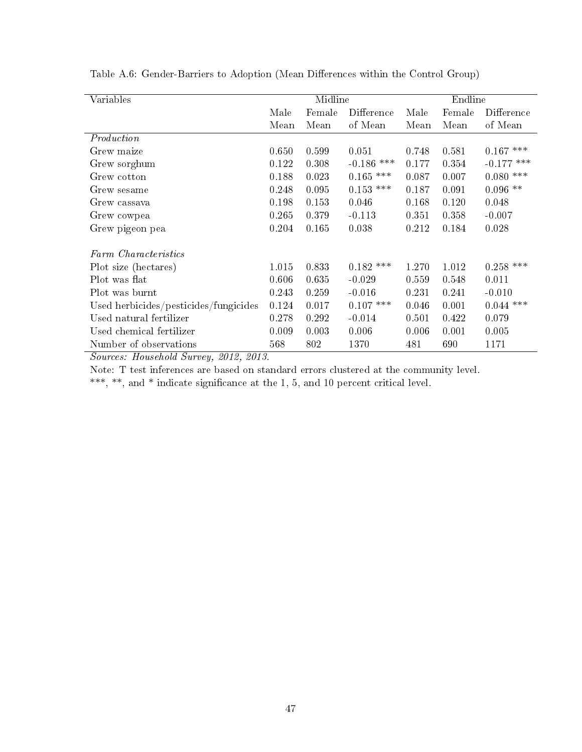| Variables                             |       | Midline |              |       | Endline |              |
|---------------------------------------|-------|---------|--------------|-------|---------|--------------|
|                                       | Male  | Female  | Difference   | Male  | Female  | Difference   |
|                                       | Mean  | Mean    | of Mean      | Mean  | Mean    | of Mean      |
| Production                            |       |         |              |       |         |              |
| Grew maize                            | 0.650 | 0.599   | 0.051        | 0.748 | 0.581   | $0.167$ ***  |
| Grew sorghum                          | 0.122 | 0.308   | $-0.186$ *** | 0.177 | 0.354   | $-0.177$ *** |
| Grew cotton                           | 0.188 | 0.023   | ***<br>0.165 | 0.087 | 0.007   | $0.080$ ***  |
| Grew sesame                           | 0.248 | 0.095   | $0.153$ ***  | 0.187 | 0.091   | $0.096$ **   |
| Grew cassava                          | 0.198 | 0.153   | 0.046        | 0.168 | 0.120   | 0.048        |
| Grew cowpea                           | 0.265 | 0.379   | $-0.113$     | 0.351 | 0.358   | $-0.007$     |
| Grew pigeon pea                       | 0.204 | 0.165   | 0.038        | 0.212 | 0.184   | 0.028        |
| Farm Characteristics                  |       |         |              |       |         |              |
| Plot size (hectares)                  | 1.015 | 0.833   | $0.182$ ***  | 1.270 | 1.012   | $0.258$ ***  |
| Plot was flat                         | 0.606 | 0.635   | $-0.029$     | 0.559 | 0.548   | 0.011        |
| Plot was burnt                        | 0.243 | 0.259   | $-0.016$     | 0.231 | 0.241   | $-0.010$     |
| Used herbicides/pesticides/fungicides | 0.124 | 0.017   | $0.107$ ***  | 0.046 | 0.001   | $0.044$ ***  |
| Used natural fertilizer               | 0.278 | 0.292   | $-0.014$     | 0.501 | 0.422   | 0.079        |
| Used chemical fertilizer              | 0.009 | 0.003   | 0.006        | 0.006 | 0.001   | 0.005        |
| Number of observations                | 568   | 802     | 1370         | 481   | 690     | 1171         |

Table A.6: Gender-Barriers to Adoption (Mean Differences within the Control Group)

Note: T test inferences are based on standard errors clustered at the community level.

\*\*\*, \*\*, and \* indicate signicance at the 1, 5, and 10 percent critical level.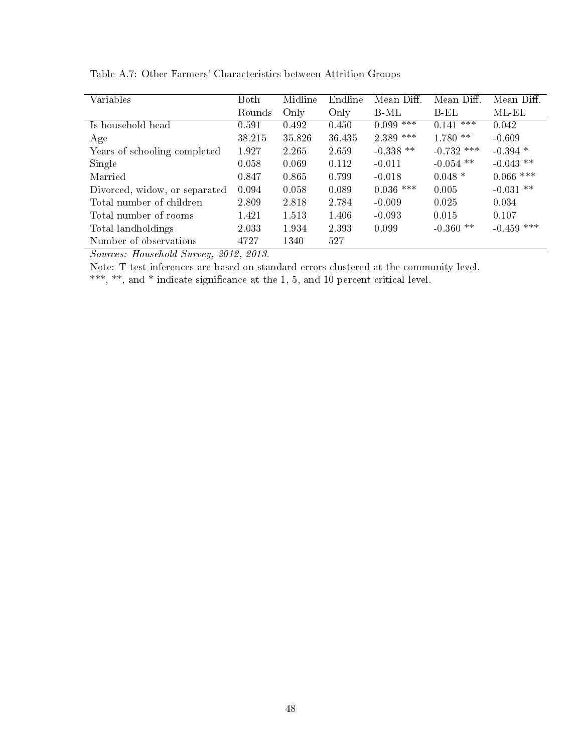| Variables                     | Both   | Midline | Endline | Mean Diff.  | Mean Diff.   | Mean Diff.   |
|-------------------------------|--------|---------|---------|-------------|--------------|--------------|
|                               | Rounds | Only    | Only    | B-ML        | B-EL         | ML-EL        |
| Is household head             | 0.591  | 0.492   | 0.450   | $0.099***$  | $0.141$ ***  | 0.042        |
| Age                           | 38 215 | 35.826  | 36 435  | 2.389 ***   | $1.780**$    | $-0.609$     |
| Years of schooling completed  | 1.927  | 2.265   | 2.659   | $-0.338$ ** | $-0.732$ *** | $-0.394$ *   |
| Single                        | 0.058  | 0.069   | 0.112   | $-0.011$    | $-0.054$ **  | $-0.043$ **  |
| Married                       | 0.847  | 0.865   | 0.799   | $-0.018$    | $0.048*$     | $0.066$ ***  |
| Divorced, widow, or separated | 0.094  | 0.058   | 0.089   | $0.036$ *** | 0.005        | $-0.031$ **  |
| Total number of children      | 2.809  | 2.818   | 2.784   | $-0.009$    | 0.025        | 0.034        |
| Total number of rooms         | 1.421  | 1.513   | 1.406   | $-0.093$    | 0.015        | 0.107        |
| Total landholdings            | 2.033  | 1.934   | 2.393   | 0.099       | $-0.360$ **  | $-0.459$ *** |
| Number of observations        | 4727   | 1340    | 527     |             |              |              |

Table A.7: Other Farmers' Characteristics between Attrition Groups

Note: T test inferences are based on standard errors clustered at the community level.

\*\*\*, \*\*, and \* indicate signicance at the 1, 5, and 10 percent critical level.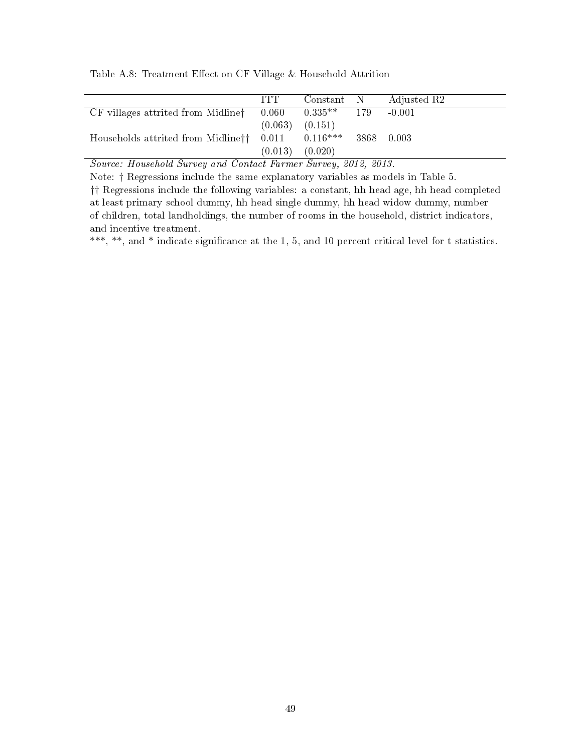Table A.8: Treatment Effect on CF Village & Household Attrition

|                                                      | <b>TTT</b> | Constant N |     | Adjusted R2 |
|------------------------------------------------------|------------|------------|-----|-------------|
| CF villages attrited from Midline <sup>†</sup>       | 0.060      | $0.335**$  | 179 | $-0.001$    |
|                                                      | (0.063)    | (0.151)    |     |             |
| Households attrited from Midline <sup>††</sup> 0.011 |            | $0.116***$ |     | 3868 0.003  |
|                                                      | (0.013)    | (0.020)    |     |             |

Source: Household Survey and Contact Farmer Survey, 2012, 2013.

Note: † Regressions include the same explanatory variables as models in Table 5. †† Regressions include the following variables: a constant, hh head age, hh head completed at least primary school dummy, hh head single dummy, hh head widow dummy, number of children, total landholdings, the number of rooms in the household, district indicators, and incentive treatment.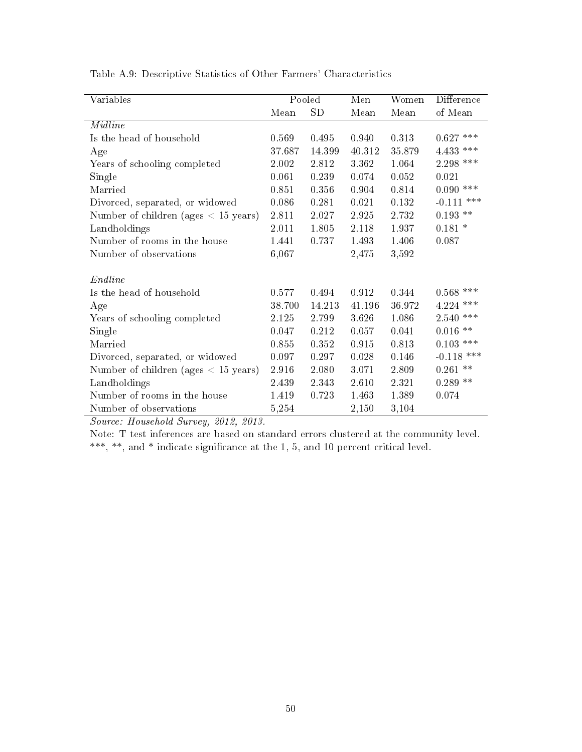| Variables                                                         |        | Pooled   | Men    | Women  | Difference            |
|-------------------------------------------------------------------|--------|----------|--------|--------|-----------------------|
|                                                                   | Mean   | SD       | Mean   | Mean   | of Mean               |
| <b>Midline</b>                                                    |        |          |        |        |                       |
| Is the head of household                                          | 0.569  | 0.495    | 0.940  | 0.313  | $0.627$ ***           |
| Age                                                               | 37.687 | 14 3 9 9 | 40 312 | 35.879 | $4.433$ ***           |
| Years of schooling completed                                      | 2.002  | 2.812    | 3.362  | 1.064  | $2.298$ ***           |
| Single                                                            | 0.061  | 0.239    | 0.074  | 0.052  | 0.021                 |
| Married                                                           | 0.851  | 0.356    | 0.904  | 0.814  | $0.090$ ***           |
| Divorced, separated, or widowed                                   | 0.086  | 0.281    | 0.021  | 0.132  | $-0.111$ ***          |
| Number of children (ages $< 15$ years)                            | 2.811  | 2.027    | 2.925  | 2.732  | $0.193**$             |
| Landholdings                                                      | 2.011  | 1.805    | 2.118  | 1.937  | $0.181*$              |
| Number of rooms in the house                                      | 1.441  | 0.737    | 1.493  | 1.406  | 0.087                 |
| Number of observations                                            | 6,067  |          | 2,475  | 3,592  |                       |
| Endline                                                           |        |          |        |        |                       |
| Is the head of household                                          | 0.577  | 0.494    | 0.912  | 0.344  | $0.568$ ***           |
| Age                                                               | 38.700 | 14.213   | 41.196 | 36.972 | $4.224$ ***           |
| Years of schooling completed                                      | 2.125  | 2.799    | 3.626  | 1.086  | $2.540$ $\text{***}$  |
| Single                                                            | 0.047  | 0.212    | 0.057  | 0.041  | $0.016$ $^{\ast\ast}$ |
| Married                                                           | 0.855  | 0.352    | 0.915  | 0.813  | $0.103$ ***           |
| Divorced, separated, or widowed                                   | 0.097  | 0.297    | 0.028  | 0.146  | $-0.118$ ***          |
| Number of children (ages $< 15$ years)                            | 2.916  | 2.080    | 3.071  | 2.809  | $0.261\;$ **          |
| Landholdings                                                      | 2.439  | 2.343    | 2.610  | 2.321  | $0.289$ **            |
| Number of rooms in the house                                      | 1.419  | 0.723    | 1.463  | 1.389  | 0.074                 |
| Number of observations                                            | 5,254  |          | 2,150  | 3,104  |                       |
| 0 <sub>010</sub><br>$Ccor$ $Hcor$ $Lol$ $Lol$ $Ccor$ $Lol$ $0.10$ |        |          |        |        |                       |

Table A.9: Descriptive Statistics of Other Farmers' Characteristics

Note: T test inferences are based on standard errors clustered at the community level. \*\*\*, \*\*, and \* indicate significance at the 1, 5, and 10 percent critical level.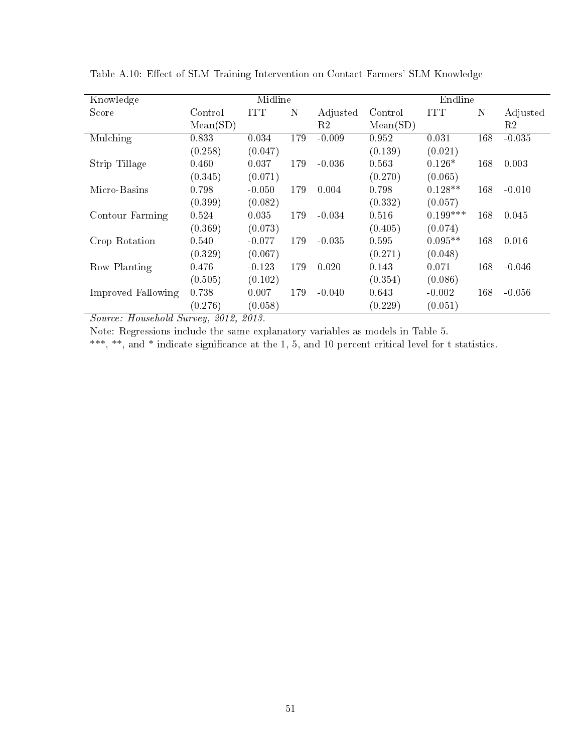| Knowledge          |          | Midline    |     |          |          | Endline    |     |          |
|--------------------|----------|------------|-----|----------|----------|------------|-----|----------|
| Score              | Control  | <b>ITT</b> | N   | Adjusted | Control  | <b>ITT</b> | N   | Adjusted |
|                    | Mean(SD) |            |     | R2       | Mean(SD) |            |     | R2       |
| Mulching           | 0.833    | 0.034      | 179 | $-0.009$ | 0.952    | 0.031      | 168 | $-0.035$ |
|                    | (0.258)  | (0.047)    |     |          | (0.139)  | (0.021)    |     |          |
| Strip Tillage      | 0.460    | 0.037      | 179 | $-0.036$ | 0.563    | $0.126*$   | 168 | 0.003    |
|                    | (0.345)  | (0.071)    |     |          | (0.270)  | (0.065)    |     |          |
| Micro-Basins       | 0.798    | $-0.050$   | 179 | 0.004    | 0.798    | $0.128**$  | 168 | $-0.010$ |
|                    | (0.399)  | (0.082)    |     |          | (0.332)  | (0.057)    |     |          |
| Contour Farming    | 0.524    | 0.035      | 179 | $-0.034$ | 0.516    | $0.199***$ | 168 | 0.045    |
|                    | (0.369)  | (0.073)    |     |          | (0.405)  | (0.074)    |     |          |
| Crop Rotation      | 0.540    | $-0.077$   | 179 | $-0.035$ | 0.595    | $0.095**$  | 168 | 0.016    |
|                    | (0.329)  | (0.067)    |     |          | (0.271)  | (0.048)    |     |          |
| Row Planting       | 0.476    | $-0.123$   | 179 | 0.020    | 0.143    | 0.071      | 168 | $-0.046$ |
|                    | (0.505)  | (0.102)    |     |          | (0.354)  | (0.086)    |     |          |
| Improved Fallowing | 0.738    | 0.007      | 179 | $-0.040$ | 0.643    | $-0.002$   | 168 | $-0.056$ |
|                    | (0.276)  | (0.058)    |     |          | (0.229)  | (0.051)    |     |          |

Table A.10: Effect of SLM Training Intervention on Contact Farmers' SLM Knowledge

Note: Regressions include the same explanatory variables as models in Table 5.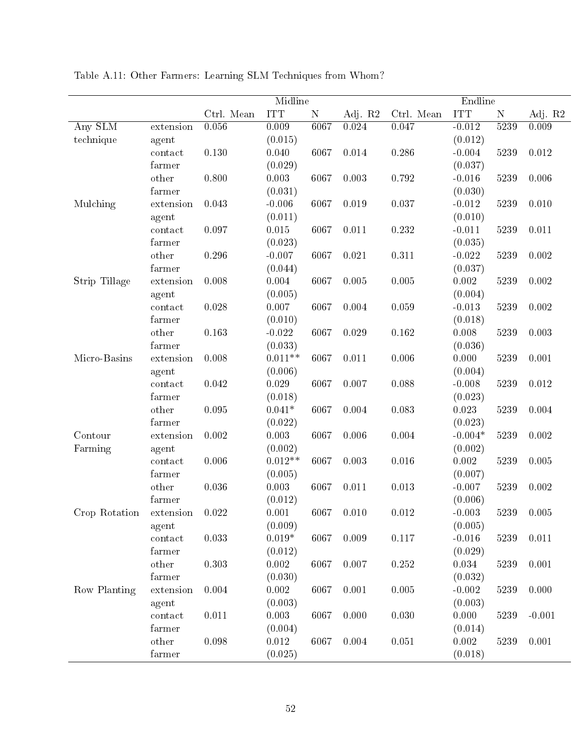|               |           |            | Midline    |           |         |            |                       |             |           |
|---------------|-----------|------------|------------|-----------|---------|------------|-----------------------|-------------|-----------|
|               |           | Ctrl. Mean | <b>ITT</b> | ${\bf N}$ | Adj. R2 | Ctrl. Mean | Endline<br><b>ITT</b> | $\mathbf N$ | Adj. R2   |
| Any SLM       | extension | 0.056      | 0.009      | 6067      | 0.024   | 0.047      | $-0.012$              | 5239        | 0.009     |
| technique     | agent     |            | (0.015)    |           |         |            | (0.012)               |             |           |
|               | contact   | 0.130      | 0.040      | 6067      | 0.014   | 0.286      | $-0.004$              | 5239        | 0.012     |
|               | farmer    |            | (0.029)    |           |         |            | (0.037)               |             |           |
|               | other     | 0.800      | 0.003      | 6067      | 0.003   | 0.792      | $-0.016$              | 5239        | 0.006     |
|               | farmer    |            | (0.031)    |           |         |            | (0.030)               |             |           |
| Mulching      | extension | 0.043      | $-0.006$   | 6067      | 0.019   | 0.037      | $-0.012$              | 5239        | 0.010     |
|               | agent     |            | (0.011)    |           |         |            | (0.010)               |             |           |
|               | contact   | 0.097      | 0.015      | 6067      | 0.011   | 0.232      | $-0.011$              | 5239        | 0.011     |
|               | farmer    |            | (0.023)    |           |         |            | (0.035)               |             |           |
|               | other     | 0.296      | $-0.007$   | 6067      | 0.021   | 0.311      | $-0.022$              | 5239        | 0.002     |
|               | farmer    |            | (0.044)    |           |         |            | (0.037)               |             |           |
| Strip Tillage | extension | 0.008      | 0.004      | 6067      | 0.005   | 0.005      | 0.002                 | 5239        | 0.002     |
|               | agent     |            | (0.005)    |           |         |            | (0.004)               |             |           |
|               | contact   | 0.028      | 0.007      | 6067      | 0.004   | 0.059      | $-0.013$              | 5239        | 0.002     |
|               | farmer    |            | (0.010)    |           |         |            | (0.018)               |             |           |
|               | other     | 0.163      | $-0.022$   | 6067      | 0.029   | 0.162      | 0.008                 | 5239        | 0.003     |
|               | farmer    |            | (0.033)    |           |         |            | (0.036)               |             |           |
| Micro-Basins  | extension | 0.008      | $0.011**$  | 6067      | 0.011   | 0.006      | 0.000                 | 5239        | 0.001     |
|               | agent     |            | (0.006)    |           |         |            | (0.004)               |             |           |
|               | contact   | 0.042      | 0.029      | 6067      | 0.007   | 0.088      | $-0.008$              | 5239        | 0.012     |
|               | farmer    |            | (0.018)    |           |         |            | (0.023)               |             |           |
|               | other     | 0.095      | $0.041*$   | 6067      | 0.004   | 0.083      | 0.023                 | 5239        | 0.004     |
|               | farmer    |            | (0.022)    |           |         |            | (0.023)               |             |           |
| Contour       | extension | 0.002      | 0.003      | 6067      | 0.006   | 0.004      | $-0.004*$             | 5239        | $0.002\,$ |
| Farming       | agent     |            | (0.002)    |           |         |            | (0.002)               |             |           |
|               | contact   | 0.006      | $0.012**$  | 6067      | 0.003   | 0.016      | 0.002                 | 5239        | 0.005     |
|               | farmer    |            | (0.005)    |           |         |            | (0.007)               |             |           |
|               | other     | 0.036      | 0.003      | 6067      | 0.011   | 0.013      | $-0.007$              | 5239        | 0.002     |
|               | farmer    |            | (0.012)    |           |         |            | (0.006)               |             |           |
| Crop Rotation | extension | 0.022      | 0.001      | 6067      | 0.010   | 0.012      | $-0.003$              | 5239        | 0.005     |
|               | agent     |            | (0.009)    |           |         |            | (0.005)               |             |           |
|               | contact   | 0.033      | $0.019*$   | 6067      | 0.009   | 0.117      | $-0.016$              | 5239        | 0.011     |
|               | farmer    |            | (0.012)    |           |         |            | (0.029)               |             |           |
|               | other     | 0.303      | 0.002      | 6067      | 0.007   | 0.252      | 0.034                 | 5239        | 0.001     |
|               | farmer    |            | (0.030)    |           |         |            | (0.032)               |             |           |
| Row Planting  | extension | 0.004      | 0.002      | 6067      | 0.001   | 0.005      | $-0.002$              | 5239        | 0.000     |
|               | agent     |            | (0.003)    |           |         |            | (0.003)               |             |           |
|               | contact   | 0.011      | 0.003      | 6067      | 0.000   | 0.030      | 0.000                 | 5239        | $-0.001$  |
|               | farmer    |            | (0.004)    |           |         |            | (0.014)               |             |           |
|               | other     | 0.098      | 0.012      | 6067      | 0.004   | 0.051      | 0.002                 | 5239        | 0.001     |
|               | farmer    |            | (0.025)    |           |         |            | (0.018)               |             |           |
|               |           |            |            |           |         |            |                       |             |           |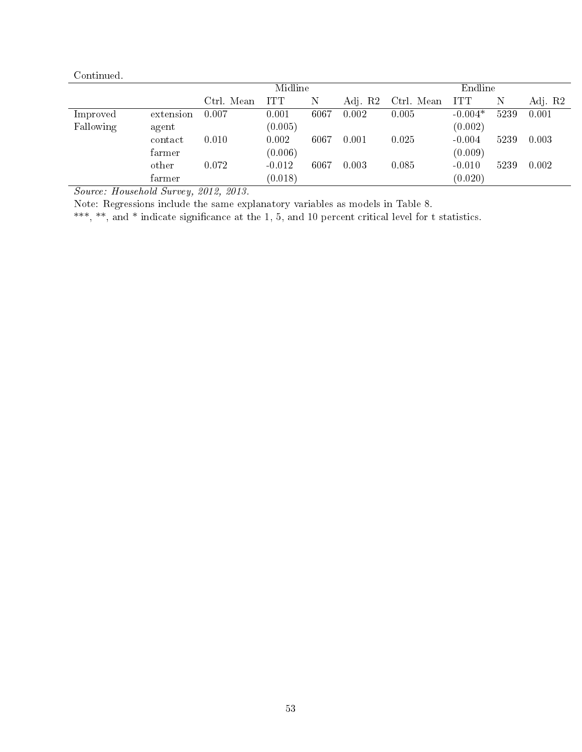| Continued. |           |            |                    |      |         |            |            |      |         |
|------------|-----------|------------|--------------------|------|---------|------------|------------|------|---------|
|            |           |            | Midline<br>Endline |      |         |            |            |      |         |
|            |           | Ctrl. Mean | <b>ITT</b>         | N    | Adj. R2 | Ctrl. Mean | <b>ITT</b> | Ν    | Adj. R2 |
| Improved   | extension | 0.007      | 0.001              | 6067 | 0.002   | 0.005      | $-0.004*$  | 5239 | 0.001   |
| Fallowing  | agent     |            | (0.005)            |      |         |            | (0.002)    |      |         |
|            | contact   | 0.010      | 0.002              | 6067 | 0.001   | 0.025      | $-0.004$   | 5239 | 0.003   |
|            | farmer    |            | (0.006)            |      |         |            | (0.009)    |      |         |
|            | other     | 0.072      | $-0.012$           | 6067 | 0.003   | 0.085      | $-0.010$   | 5239 | 0.002   |
|            | farmer    |            | (0.018)            |      |         |            | (0.020)    |      |         |

Note: Regressions include the same explanatory variables as models in Table 8.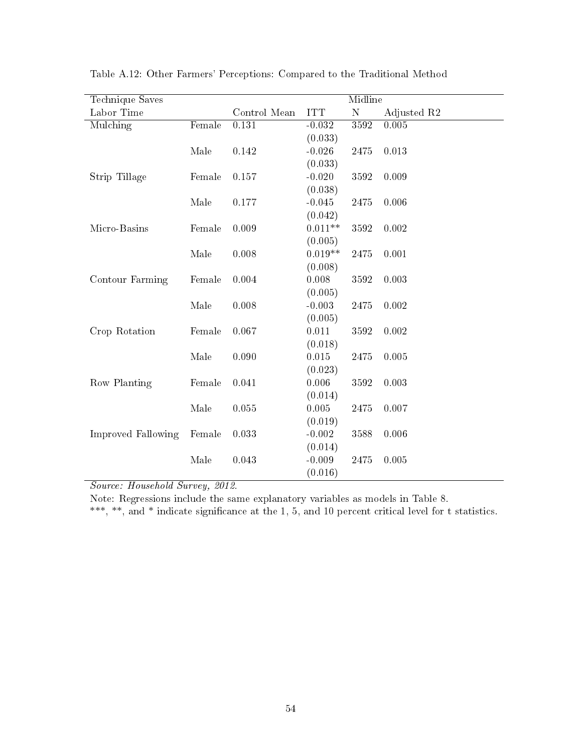| Technique Saves    |        | Midline      |            |           |             |  |  |
|--------------------|--------|--------------|------------|-----------|-------------|--|--|
| Labor Time         |        | Control Mean | <b>ITT</b> | ${\bf N}$ | Adjusted R2 |  |  |
| Mulching           | Female | 0.131        | $-0.032$   | 3592      | 0.005       |  |  |
|                    |        |              | (0.033)    |           |             |  |  |
|                    | Male   | 0.142        | $-0.026$   | 2475      | 0.013       |  |  |
|                    |        |              | (0.033)    |           |             |  |  |
| Strip Tillage      | Female | 0.157        | $-0.020$   | 3592      | 0.009       |  |  |
|                    |        |              | (0.038)    |           |             |  |  |
|                    | Male   | 0.177        | $-0.045$   | 2475      | 0.006       |  |  |
|                    |        |              | (0.042)    |           |             |  |  |
| Micro-Basins       | Female | 0.009        | $0.011**$  | 3592      | 0.002       |  |  |
|                    |        |              | (0.005)    |           |             |  |  |
|                    | Male   | 0.008        | $0.019**$  | 2475      | 0.001       |  |  |
|                    |        |              | (0.008)    |           |             |  |  |
| Contour Farming    | Female | 0.004        | 0.008      | 3592      | 0.003       |  |  |
|                    |        |              | (0.005)    |           |             |  |  |
|                    | Male   | 0.008        | $-0.003$   | 2475      | 0.002       |  |  |
|                    |        |              | (0.005)    |           |             |  |  |
| Crop Rotation      | Female | 0.067        | 0.011      | 3592      | 0.002       |  |  |
|                    |        |              | (0.018)    |           |             |  |  |
|                    | Male   | 0.090        | 0.015      | 2475      | 0.005       |  |  |
|                    |        |              | (0.023)    |           |             |  |  |
| Row Planting       | Female | 0.041        | 0.006      | 3592      | 0.003       |  |  |
|                    |        |              | (0.014)    |           |             |  |  |
|                    | Male   | 0.055        | 0.005      | 2475      | 0.007       |  |  |
|                    |        |              | (0.019)    |           |             |  |  |
| Improved Fallowing | Female | 0.033        | $-0.002$   | 3588      | 0.006       |  |  |
|                    |        |              | (0.014)    |           |             |  |  |
|                    | Male   | 0.043        | $-0.009$   | 2475      | 0.005       |  |  |
|                    |        |              | (0.016)    |           |             |  |  |

Table A.12: Other Farmers' Perceptions: Compared to the Traditional Method

Note: Regressions include the same explanatory variables as models in Table 8.